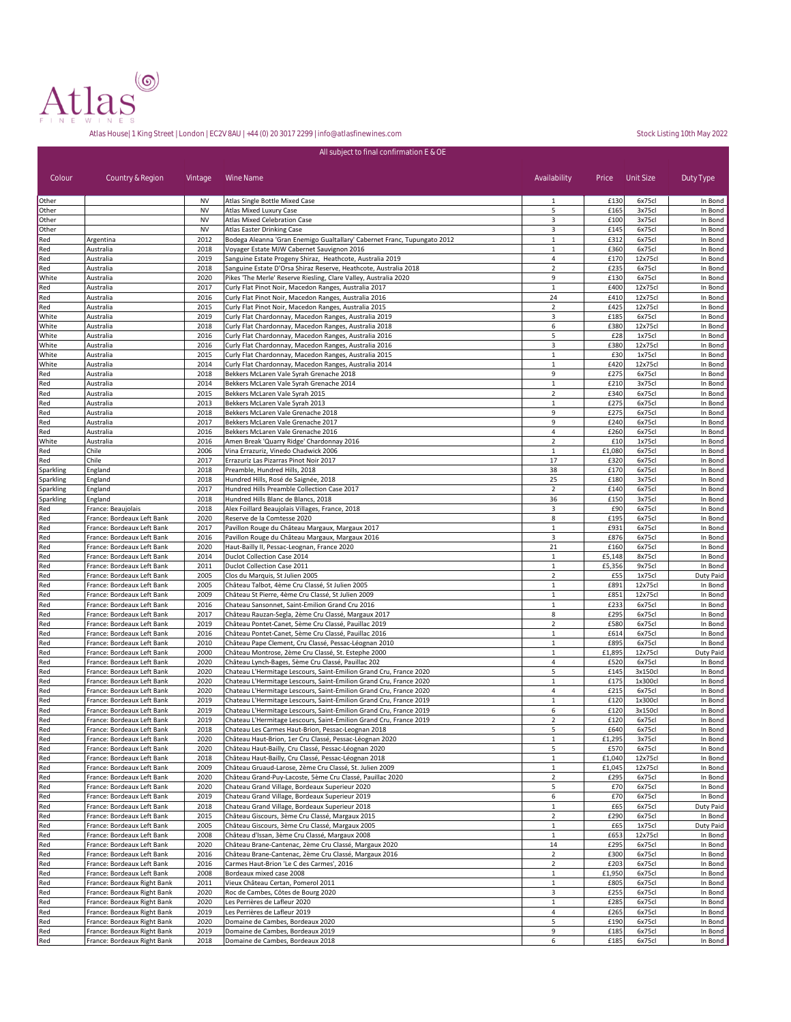

|                        | All subject to final confirmation E & OE                   |                        |                                                                                                                                          |                                  |                  |                    |                      |  |  |  |
|------------------------|------------------------------------------------------------|------------------------|------------------------------------------------------------------------------------------------------------------------------------------|----------------------------------|------------------|--------------------|----------------------|--|--|--|
| Colour                 | Country & Region                                           | Vintage                | Wine Name                                                                                                                                | Availability                     |                  | Price Unit Size    | Duty Type            |  |  |  |
| Other                  |                                                            | <b>NV</b><br><b>NV</b> | Atlas Single Bottle Mixed Case<br>Atlas Mixed Luxury Case                                                                                | 1<br>5                           | £130             | 6x75cl<br>3x75cl   | In Bond<br>In Bond   |  |  |  |
| Other<br>Other         |                                                            | <b>NV</b>              | Atlas Mixed Celebration Case                                                                                                             | 3                                | £165<br>£100     | 3x75cl             | In Bond              |  |  |  |
| Other                  |                                                            | <b>NV</b>              | Atlas Easter Drinking Case                                                                                                               | 3                                | £145             | 6x75cl             | In Bond              |  |  |  |
| Red                    | Argentina                                                  | 2012                   | Bodega Aleanna 'Gran Enemigo Gualtallary' Cabernet Franc, Tupungato 2012                                                                 | 1                                | £312             | 6x75cl             | In Bond              |  |  |  |
| Red<br>Red             | Australia<br>Australia                                     | 2018<br>2019           | Voyager Estate MJW Cabernet Sauvignon 2016<br>Sanguine Estate Progeny Shiraz, Heathcote, Australia 2019                                  | 1<br>$\overline{4}$              | £360<br>£170     | 6x75cl<br>12x75cl  | In Bond<br>In Bond   |  |  |  |
| Red                    | Australia                                                  | 2018                   | Sanguine Estate D'Orsa Shiraz Reserve, Heathcote, Australia 2018                                                                         | $\overline{2}$                   | £235             | 6x75cl             | In Bond              |  |  |  |
| White                  | Australia                                                  | 2020                   | Pikes 'The Merle' Reserve Riesling, Clare Valley, Australia 2020                                                                         | 9                                | £130             | 6x75cl             | In Bond              |  |  |  |
| Red                    | Australia                                                  | 2017                   | Curly Flat Pinot Noir, Macedon Ranges, Australia 2017                                                                                    | 1                                | £400             | 12x75cl            | In Bond              |  |  |  |
| Red<br>Red             | Australia<br>Australia                                     | 2016<br>2015           | Curly Flat Pinot Noir, Macedon Ranges, Australia 2016<br>Curly Flat Pinot Noir, Macedon Ranges, Australia 2015                           | 24<br>$\overline{2}$             | £410<br>£425     | 12x75cl<br>12x75cl | In Bond<br>In Bond   |  |  |  |
| White                  | Australia                                                  | 2019                   | Curly Flat Chardonnay, Macedon Ranges, Australia 2019                                                                                    | 3                                | £185             | 6x75cl             | In Bond              |  |  |  |
| White                  | Australia                                                  | 2018                   | Curly Flat Chardonnay, Macedon Ranges, Australia 2018                                                                                    | 6                                | £380             | 12x75cl            | In Bond              |  |  |  |
| White<br>White         | Australia<br>Australia                                     | 2016<br>2016           | Curly Flat Chardonnay, Macedon Ranges, Australia 2016<br>Curly Flat Chardonnay, Macedon Ranges, Australia 2016                           | 5<br>3                           | £28<br>£380      | 1x75cl<br>12x75cl  | In Bond<br>In Bond   |  |  |  |
| White                  | Australia                                                  | 2015                   | Curly Flat Chardonnay, Macedon Ranges, Australia 2015                                                                                    | $\mathbf{1}$                     | £30              | 1x75cl             | In Bond              |  |  |  |
| White                  | Australia                                                  | 2014                   | Curly Flat Chardonnay, Macedon Ranges, Australia 2014                                                                                    | $\mathbf{1}$                     | £420             | 12x75cl            | In Bond              |  |  |  |
| Red                    | Australia                                                  | 2018                   | Bekkers McLaren Vale Syrah Grenache 2018                                                                                                 | 9                                | £275             | 6x75cl             | In Bond              |  |  |  |
| Red<br>Red             | Australia<br>Australia                                     | 2014<br>2015           | Bekkers McLaren Vale Syrah Grenache 2014<br>Bekkers McLaren Vale Syrah 2015                                                              | $\mathbf 1$<br>$\overline{2}$    | £210<br>£340     | 3x75cl<br>6x75cl   | In Bond<br>In Bond   |  |  |  |
| Red                    | Australia                                                  | 2013                   | Bekkers McLaren Vale Syrah 2013                                                                                                          | $\overline{1}$                   | £275             | 6x75cl             | In Bond              |  |  |  |
| Red                    | Australia                                                  | 2018                   | Bekkers McLaren Vale Grenache 2018                                                                                                       | 9                                | £275             | 6x75cl             | In Bond              |  |  |  |
| Red                    | Australia                                                  | 2017                   | Bekkers McLaren Vale Grenache 2017                                                                                                       | 9                                | £240             | 6x75cl             | In Bond              |  |  |  |
| Red<br>White           | Australia<br>Australia                                     | 2016<br>2016           | Bekkers McLaren Vale Grenache 2016<br>Amen Break 'Quarry Ridge' Chardonnay 2016                                                          | 4<br>$\mathbf 2$                 | £260<br>£10      | 6x75cl<br>1x75cl   | In Bond<br>In Bond   |  |  |  |
| Red                    | Chile                                                      | 2006                   | Vina Errazuriz, Vinedo Chadwick 2006                                                                                                     | $1\,$                            | £1,080           | 6x75cl             | In Bond              |  |  |  |
| Red                    | Chile                                                      | 2017                   | Errazuriz Las Pizarras Pinot Noir 2017                                                                                                   | 17                               | £320             | 6x75cl             | In Bond              |  |  |  |
| Sparkling              | England                                                    | 2018                   | Preamble, Hundred Hills, 2018                                                                                                            | 38                               | £170             | 6x75cl             | In Bond              |  |  |  |
| Sparkling<br>Sparkling | England<br>England                                         | 2018<br>2017           | Hundred Hills, Rosé de Saignée, 2018<br>Hundred Hills Preamble Collection Case 2017                                                      | 25<br>$\overline{2}$             | £180<br>£140     | 3x75cl<br>6x75cl   | In Bond<br>In Bond   |  |  |  |
| Sparkling              | England                                                    | 2018                   | Hundred Hills Blanc de Blancs, 2018                                                                                                      | 36                               | £150             | 3x75cl             | In Bond              |  |  |  |
| Red                    | France: Beaujolais                                         | 2018                   | Alex Foillard Beaujolais Villages, France, 2018                                                                                          | 3                                | £90              | 6x75cl             | In Bond              |  |  |  |
| Red                    | France: Bordeaux Left Bank                                 | 2020                   | Reserve de la Comtesse 2020                                                                                                              | 8                                | £195             | 6x75cl             | In Bond              |  |  |  |
| Red<br>Red             | France: Bordeaux Left Bank<br>France: Bordeaux Left Bank   | 2017<br>2016           | Pavillon Rouge du Château Margaux, Margaux 2017<br>Pavillon Rouge du Château Margaux, Margaux 2016                                       | 1<br>3                           | £931<br>£876     | 6x75cl<br>6x75cl   | In Bond<br>In Bond   |  |  |  |
| Red                    | France: Bordeaux Left Bank                                 | 2020                   | Haut-Bailly II, Pessac-Leognan, France 2020                                                                                              | 21                               | £160             | 6x75cl             | In Bond              |  |  |  |
| Red                    | France: Bordeaux Left Bank                                 | 2014                   | Duclot Collection Case 2014                                                                                                              | $\mathbf{1}$                     | £5,148           | 8x75cl             | In Bond              |  |  |  |
| Red                    | France: Bordeaux Left Bank                                 | 2011                   | Duclot Collection Case 2011                                                                                                              | $\mathbf{1}$                     | £5,356           | 9x75cl             | In Bond              |  |  |  |
| Red<br>Red             | France: Bordeaux Left Bank<br>France: Bordeaux Left Bank   | 2005<br>2005           | Clos du Marquis, St Julien 2005<br>Château Talbot, 4ème Cru Classé, St Julien 2005                                                       | $\overline{2}$<br>$\mathbf{1}$   | £55<br>£891      | 1x75cl<br>12x75cl  | Duty Paid<br>In Bond |  |  |  |
| Red                    | France: Bordeaux Left Bank                                 | 2009                   | Château St Pierre, 4ème Cru Classé, St Julien 2009                                                                                       | $\mathbf{1}$                     | £851             | 12x75cl            | In Bond              |  |  |  |
| Red                    | France: Bordeaux Left Bank                                 | 2016                   | Chateau Sansonnet, Saint-Emilion Grand Cru 2016                                                                                          | $\mathbf{1}$                     | £233             | 6x75cl             | In Bond              |  |  |  |
| Red                    | France: Bordeaux Left Bank                                 | 2017<br>2019           | Château Rauzan-Segla, 2ème Cru Classé, Margaux 2017                                                                                      | 8<br>$\overline{2}$              | £295<br>£580     | 6x75cl<br>6x75cl   | In Bond<br>In Bond   |  |  |  |
| Red<br>Red             | France: Bordeaux Left Bank<br>France: Bordeaux Left Bank   | 2016                   | Château Pontet-Canet, 5ème Cru Classé, Pauillac 2019<br>Château Pontet-Canet, 5ème Cru Classé, Pauillac 2016                             | $\mathbf{1}$                     | £614             | 6x75cl             | In Bond              |  |  |  |
| Red                    | France: Bordeaux Left Bank                                 | 2010                   | Château Pape Clement, Cru Classé, Pessac-Léognan 2010                                                                                    | $\mathbf{1}$                     | £895             | 6x75cl             | In Bond              |  |  |  |
| Red                    | France: Bordeaux Left Bank                                 | 2000                   | Château Montrose, 2ème Cru Classé, St. Estephe 2000                                                                                      | 1                                | £1,895           | 12x75cl            | Duty Paid            |  |  |  |
| Red<br>Red             | France: Bordeaux Left Bank<br>France: Bordeaux Left Bank   | 2020<br>2020           | Château Lynch-Bages, 5ème Cru Classé, Pauillac 202<br>Chateau L'Hermitage Lescours, Saint-Emilion Grand Cru, France 2020                 | 4<br>5                           | £520<br>£145     | 6x75cl<br>3x150cl  | In Bond<br>In Bond   |  |  |  |
| Red                    | France: Bordeaux Left Bank                                 | 2020                   | Chateau L'Hermitage Lescours, Saint-Emilion Grand Cru, France 2020                                                                       | $1\,$                            | £175             | 1x300cl            | In Bond              |  |  |  |
| Red                    | France: Bordeaux Left Bank                                 | 2020                   | Chateau L'Hermitage Lescours, Saint-Emilion Grand Cru, France 2020                                                                       | 4                                | £215             | 6x75cl             | In Bond              |  |  |  |
| Red                    | France: Bordeaux Left Bank                                 | 2019                   | Chateau L'Hermitage Lescours, Saint-Emilion Grand Cru, France 2019                                                                       | $\mathbf{1}$                     | £120             | 1x300cl            | In Bond              |  |  |  |
| Red<br>Red             | France: Bordeaux Left Bank<br>France: Bordeaux Left Bank   | 2019<br>2019           | Chateau L'Hermitage Lescours, Saint-Emilion Grand Cru, France 2019<br>Chateau L'Hermitage Lescours, Saint-Emilion Grand Cru, France 2019 | 6<br>$\overline{2}$              | £120<br>£120     | 3x150cl<br>6x75cl  | In Bond<br>In Bond   |  |  |  |
| Red                    | France: Bordeaux Left Bank                                 | 2018                   | Chateau Les Carmes Haut-Brion, Pessac-Leognan 2018                                                                                       | 5                                | £640             | 6x75cl             | In Bond              |  |  |  |
| Red                    | France: Bordeaux Left Bank                                 | 2020                   | Château Haut-Brion, 1er Cru Classé, Pessac-Léognan 2020                                                                                  | $\mathbf 1$                      | £1,295           | 3x75cl             | In Bond              |  |  |  |
| Red                    | France: Bordeaux Left Bank                                 | 2020                   | Château Haut-Bailly, Cru Classé, Pessac-Léognan 2020                                                                                     | 5                                | £570             | 6x75cl             | In Bond              |  |  |  |
| Red<br>Red             | France: Bordeaux Left Bank<br>France: Bordeaux Left Bank   | 2018<br>2009           | Château Haut-Bailly, Cru Classé, Pessac-Léognan 2018<br>Château Gruaud-Larose, 2ème Cru Classé, St. Julien 2009                          | $\mathbf{1}$<br>$\mathbf{1}$     | £1,040<br>£1,045 | 12x75cl<br>12x75cl | In Bond<br>In Bond   |  |  |  |
| Red                    | France: Bordeaux Left Bank                                 | 2020                   | Château Grand-Puy-Lacoste, 5ème Cru Classé, Pauillac 2020                                                                                | $\overline{2}$                   | £295             | 6x75cl             | In Bond              |  |  |  |
| Red                    | France: Bordeaux Left Bank                                 | 2020                   | Chateau Grand Village, Bordeaux Superieur 2020                                                                                           | 5                                | £70              | 6x75cl             | In Bond              |  |  |  |
| Red                    | France: Bordeaux Left Bank                                 | 2019                   | Chateau Grand Village, Bordeaux Superieur 2019                                                                                           | 6                                | £70              | 6x75cl             | In Bond              |  |  |  |
| Red<br>Red             | France: Bordeaux Left Bank<br>France: Bordeaux Left Bank   | 2018<br>2015           | Chateau Grand Village, Bordeaux Superieur 2018<br>Château Giscours, 3ème Cru Classé, Margaux 2015                                        | $\mathbf{1}$<br>$\overline{2}$   | £65<br>£290      | 6x75cl<br>6x75cl   | Duty Paid<br>In Bond |  |  |  |
| Red                    | France: Bordeaux Left Bank                                 | 2005                   | Château Giscours, 3ème Cru Classé, Margaux 2005                                                                                          | $\mathbf{1}$                     | £65              | 1x75cl             | Duty Paid            |  |  |  |
| Red                    | France: Bordeaux Left Bank                                 | 2008                   | Château d'Issan, 3ème Cru Classé, Margaux 2008                                                                                           | $\mathbf{1}$                     | £653             | 12x75cl            | In Bond              |  |  |  |
| Red                    | France: Bordeaux Left Bank                                 | 2020                   | Château Brane-Cantenac, 2ème Cru Classé, Margaux 2020                                                                                    | 14                               | £295             | 6x75cl             | In Bond              |  |  |  |
| Red<br>Red             | France: Bordeaux Left Bank<br>France: Bordeaux Left Bank   | 2016<br>2016           | Château Brane-Cantenac, 2ème Cru Classé, Margaux 2016<br>Carmes Haut-Brion 'Le C des Carmes', 2016                                       | $\overline{2}$<br>$\overline{2}$ | £300<br>£203     | 6x75cl<br>6x75cl   | In Bond<br>In Bond   |  |  |  |
| Red                    | France: Bordeaux Left Bank                                 | 2008                   | Bordeaux mixed case 2008                                                                                                                 | $\mathbf{1}$                     | £1,950           | 6x75cl             | In Bond              |  |  |  |
| Red                    | France: Bordeaux Right Bank                                | 2011                   | Vieux Château Certan, Pomerol 2011                                                                                                       | $\mathbf 1$                      | £805             | 6x75cl             | In Bond              |  |  |  |
| Red                    | France: Bordeaux Right Bank                                | 2020                   | Roc de Cambes, Côtes de Bourg 2020                                                                                                       | 3                                | £255             | 6x75cl             | In Bond              |  |  |  |
| Red<br>Red             | France: Bordeaux Right Bank<br>France: Bordeaux Right Bank | 2020<br>2019           | Les Perrières de Lafleur 2020<br>Les Perrières de Lafleur 2019                                                                           | 1<br>4                           | £285<br>£265     | 6x75cl<br>6x75cl   | In Bond<br>In Bond   |  |  |  |
| Red                    | France: Bordeaux Right Bank                                | 2020                   | Domaine de Cambes, Bordeaux 2020                                                                                                         | 5                                | £190             | 6x75cl             | In Bond              |  |  |  |
| Red                    | France: Bordeaux Right Bank                                | 2019                   | Domaine de Cambes, Bordeaux 2019                                                                                                         | 9                                | £185             | 6x75cl             | In Bond              |  |  |  |
| Red                    | France: Bordeaux Right Bank                                | 2018                   | Domaine de Cambes, Bordeaux 2018                                                                                                         | 6                                | £185             | 6x75cl             | In Bond              |  |  |  |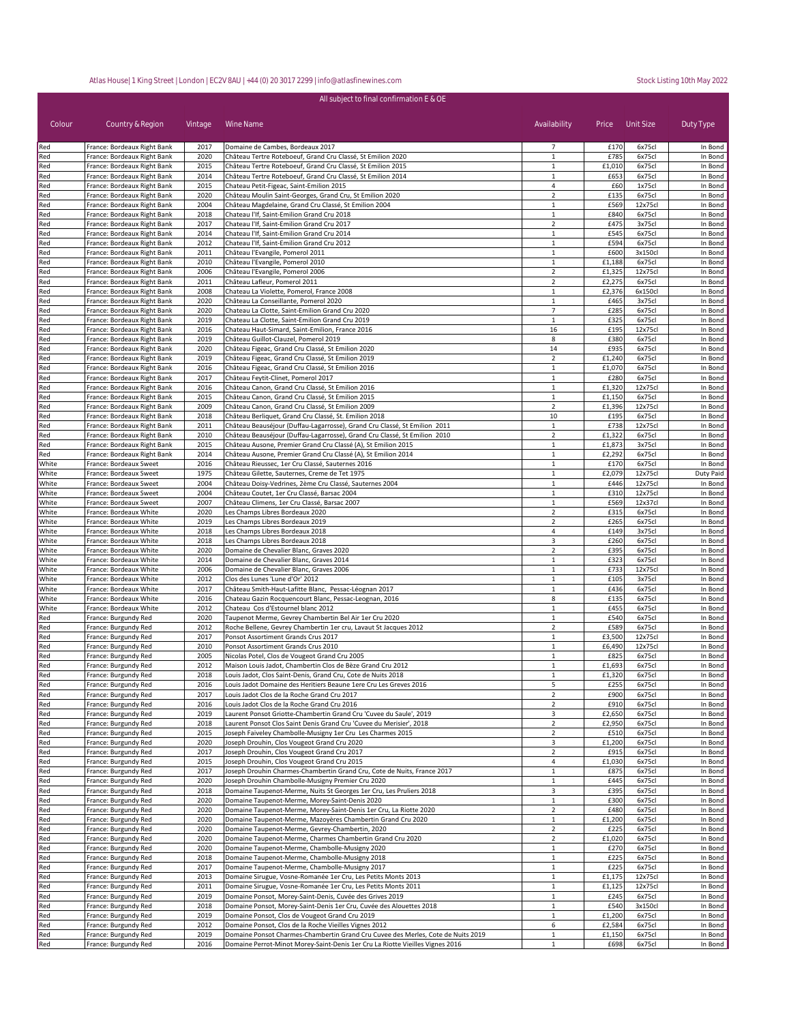| All subject to final confirmation E & OE |                                                            |              |                                                                                                                |                                |                  |                    |                    |
|------------------------------------------|------------------------------------------------------------|--------------|----------------------------------------------------------------------------------------------------------------|--------------------------------|------------------|--------------------|--------------------|
| Colour                                   | Country & Region                                           | Vintage      | Wine Name                                                                                                      | Availability                   | Price            | Unit Size          | Duty Type          |
| Red                                      | France: Bordeaux Right Bank                                | 2017         | Domaine de Cambes, Bordeaux 2017                                                                               | 7                              | £170             | 6x75cl             | In Bond            |
| Red                                      | France: Bordeaux Right Bank                                | 2020         | Château Tertre Roteboeuf, Grand Cru Classé, St Emilion 2020                                                    | 1                              | £785             | 6x75cl             | In Bond            |
| Red                                      | France: Bordeaux Right Bank                                | 2015         | Château Tertre Roteboeuf, Grand Cru Classé, St Emilion 2015                                                    | 1                              | £1,010           | 6x75cl             | In Bond            |
| Red<br>Red                               | France: Bordeaux Right Bank<br>France: Bordeaux Right Bank | 2014<br>2015 | Château Tertre Roteboeuf, Grand Cru Classé, St Emilion 2014<br>Chateau Petit-Figeac, Saint-Emilion 2015        | 1<br>$\overline{4}$            | £653<br>£60      | 6x75cl<br>1x75cl   | In Bond<br>In Bond |
| Red                                      | France: Bordeaux Right Bank                                | 2020         | Château Moulin Saint-Georges, Grand Cru, St Emilion 2020                                                       | $\overline{2}$                 | £135             | 6x75cl             | In Bond            |
| Red                                      | France: Bordeaux Right Bank                                | 2004         | Château Magdelaine, Grand Cru Classé, St Emilion 2004                                                          | $\mathbf{1}$                   | £569             | 12x75cl            | In Bond            |
| Red                                      | France: Bordeaux Right Bank                                | 2018         | Chateau l'If, Saint-Emilion Grand Cru 2018                                                                     | $\mathbf{1}$                   | £840             | 6x75cl             | In Bond            |
| Red                                      | France: Bordeaux Right Bank                                | 2017         | Chateau l'If, Saint-Emilion Grand Cru 2017                                                                     | $\overline{2}$                 | £475             | 3x75cl             | In Bond            |
| Red                                      | France: Bordeaux Right Bank                                | 2014         | Chateau l'If, Saint-Emilion Grand Cru 2014                                                                     | $\mathbf{1}$                   | £545             | 6x75cl             | In Bond            |
| Red                                      | France: Bordeaux Right Bank                                | 2012         | Chateau l'If, Saint-Emilion Grand Cru 2012                                                                     | $\mathbf{1}$                   | £594             | 6x75cl             | In Bond            |
| Red                                      | France: Bordeaux Right Bank                                | 2011<br>2010 | Château l'Evangile, Pomerol 2011                                                                               | $\mathbf{1}$<br>$\mathbf{1}$   | £600             | 3x150cl            | In Bond            |
| Red<br>Red                               | France: Bordeaux Right Bank<br>France: Bordeaux Right Bank | 2006         | Château l'Evangile, Pomerol 2010<br>Château l'Evangile, Pomerol 2006                                           | $\overline{2}$                 | £1,188<br>£1,325 | 6x75cl<br>12x75cl  | In Bond<br>In Bond |
| Red                                      | France: Bordeaux Right Bank                                | 2011         | Château Lafleur, Pomerol 2011                                                                                  | $\overline{2}$                 | £2,275           | 6x75cl             | In Bond            |
| Red                                      | France: Bordeaux Right Bank                                | 2008         | Chateau La Violette, Pomerol, France 2008                                                                      | $\mathbf{1}$                   | £2,376           | 6x150cl            | In Bond            |
| Red                                      | France: Bordeaux Right Bank                                | 2020         | Château La Conseillante, Pomerol 2020                                                                          | $\mathbf{1}$                   | £465             | 3x75cl             | In Bond            |
| Red                                      | France: Bordeaux Right Bank                                | 2020         | Chateau La Clotte, Saint-Emilion Grand Cru 2020                                                                | $\overline{7}$                 | £285             | 6x75cl             | In Bond            |
| Red                                      | France: Bordeaux Right Bank                                | 2019         | Chateau La Clotte, Saint-Emilion Grand Cru 2019                                                                | $\mathbf{1}$                   | £325             | 6x75cl             | In Bond            |
| Red<br>Red                               | France: Bordeaux Right Bank<br>France: Bordeaux Right Bank | 2016<br>2019 | Chateau Haut-Simard, Saint-Emilion, France 2016<br>Château Guillot-Clauzel, Pomerol 2019                       | 16<br>8                        | £195<br>£380     | 12x75cl<br>6x75cl  | In Bond<br>In Bond |
| Red                                      | France: Bordeaux Right Bank                                | 2020         | Château Figeac, Grand Cru Classé, St Emilion 2020                                                              | 14                             | £935             | 6x75cl             | In Bond            |
| Red                                      | France: Bordeaux Right Bank                                | 2019         | Château Figeac, Grand Cru Classé, St Emilion 2019                                                              | $\overline{2}$                 | £1,240           | 6x75cl             | In Bond            |
| Red                                      | France: Bordeaux Right Bank                                | 2016         | Château Figeac, Grand Cru Classé, St Emilion 2016                                                              | $\mathbf{1}$                   | £1,070           | 6x75cl             | In Bond            |
| Red                                      | France: Bordeaux Right Bank                                | 2017         | Château Feytit-Clinet, Pomerol 2017                                                                            | 1                              | £280             | 6x75cl             | In Bond            |
| Red                                      | France: Bordeaux Right Bank                                | 2016         | Château Canon, Grand Cru Classé, St Emilion 2016                                                               | $\mathbf{1}$                   | £1,320           | 12x75cl            | In Bond            |
| Red                                      | France: Bordeaux Right Bank                                | 2015         | Château Canon, Grand Cru Classé, St Emilion 2015                                                               | 1                              | £1,150           | 6x75cl             | In Bond            |
| Red                                      | France: Bordeaux Right Bank                                | 2009         | Château Canon, Grand Cru Classé, St Emilion 2009<br>Château Berliquet, Grand Cru Classé, St. Emilion 2018      | $\mathbf 2$                    | £1,396<br>£195   | 12x75cl            | In Bond            |
| Red<br>Red                               | France: Bordeaux Right Bank<br>France: Bordeaux Right Bank | 2018<br>2011 | Château Beauséjour (Duffau-Lagarrosse), Grand Cru Classé, St Emilion 2011                                      | 10<br>$\mathbf 1$              | £738             | 6x75cl<br>12x75cl  | In Bond<br>In Bond |
| Red                                      | France: Bordeaux Right Bank                                | 2010         | Château Beauséjour (Duffau-Lagarrosse), Grand Cru Classé, St Emilion 2010                                      | $\overline{2}$                 | £1,322           | 6x75cl             | In Bond            |
| Red                                      | France: Bordeaux Right Bank                                | 2015         | Château Ausone, Premier Grand Cru Classé (A), St Emilion 2015                                                  | $\mathbf{1}$                   | £1,873           | 3x75cl             | In Bond            |
| Red                                      | France: Bordeaux Right Bank                                | 2014         | Château Ausone, Premier Grand Cru Classé (A), St Emilion 2014                                                  | $\mathbf{1}$                   | £2,292           | 6x75cl             | In Bond            |
| White                                    | France: Bordeaux Sweet                                     | 2016         | Château Rieussec, 1er Cru Classé, Sauternes 2016                                                               | $\mathbf{1}$                   | £170             | 6x75cl             | In Bond            |
| White                                    | France: Bordeaux Sweet                                     | 1975         | Château Gilette, Sauternes, Creme de Tet 1975                                                                  | $\mathbf{1}$                   | £2,079           | 12x75cl            | Duty Paid          |
| White                                    | France: Bordeaux Sweet                                     | 2004         | Château Doisy-Vedrines, 2ème Cru Classé, Sauternes 2004                                                        | $\mathbf{1}$                   | £446             | 12x75cl            | In Bond            |
| White<br>White                           | France: Bordeaux Sweet<br>France: Bordeaux Sweet           | 2004<br>2007 | Château Coutet, 1er Cru Classé, Barsac 2004<br>Château Climens, 1er Cru Classé, Barsac 2007                    | $\mathbf{1}$<br>$\mathbf{1}$   | £310<br>£569     | 12x75cl<br>12x37cl | In Bond<br>In Bond |
| White                                    | France: Bordeaux White                                     | 2020         | Les Champs Libres Bordeaux 2020                                                                                | $\overline{2}$                 | £315             | 6x75cl             | In Bond            |
| White                                    | France: Bordeaux White                                     | 2019         | Les Champs Libres Bordeaux 2019                                                                                | $\overline{2}$                 | £265             | 6x75cl             | In Bond            |
| White                                    | France: Bordeaux White                                     | 2018         | Les Champs Libres Bordeaux 2018                                                                                | 4                              | £149             | 3x75cl             | In Bond            |
| White                                    | France: Bordeaux White                                     | 2018         | Les Champs Libres Bordeaux 2018                                                                                | 3                              | £260             | 6x75cl             | In Bond            |
| White                                    | France: Bordeaux White                                     | 2020         | Domaine de Chevalier Blanc, Graves 2020                                                                        | $\overline{2}$                 | £395             | 6x75cl             | In Bond            |
| White                                    | France: Bordeaux White                                     | 2014         | Domaine de Chevalier Blanc, Graves 2014                                                                        | $\mathbf{1}$                   | £323             | 6x75cl             | In Bond            |
| White<br>White                           | France: Bordeaux White                                     | 2006<br>2012 | Domaine de Chevalier Blanc, Graves 2006<br>Clos des Lunes 'Lune d'Or' 2012                                     | $\mathbf{1}$<br>$\mathbf{1}$   | £733<br>£105     | 12x75cl<br>3x75cl  | In Bond<br>In Bond |
| White                                    | France: Bordeaux White<br>France: Bordeaux White           | 2017         | Château Smith-Haut-Lafitte Blanc, Pessac-Léognan 2017                                                          | $1\,$                          | £436             | 6x75cl             | In Bond            |
| White                                    | France: Bordeaux White                                     | 2016         | Chateau Gazin Rocquencourt Blanc, Pessac-Leognan, 2016                                                         | 8                              | £135             | 6x75cl             | In Bond            |
| White                                    | France: Bordeaux White                                     | 2012         | Chateau Cos d'Estournel blanc 2012                                                                             | $\mathbf 1$                    | £455             | 6x75cl             | In Bond            |
| Red                                      | France: Burgundy Red                                       | 2020         | Taupenot Merme, Gevrey Chambertin Bel Air 1er Cru 2020                                                         | $\mathbf{1}$                   | £540             | 6x75cl             | In Bond            |
| Red                                      | France: Burgundy Red                                       | 2012         | Roche Bellene, Gevrey Chambertin 1er cru, Lavaut St Jacques 2012                                               | $\overline{2}$                 | £589             | 6x75cl             | In Bond            |
| Red                                      | France: Burgundy Red                                       | 2017         | Ponsot Assortiment Grands Crus 2017                                                                            | 1                              | £3,500           | 12x75cl            | In Bond            |
| Red                                      | France: Burgundy Red                                       | 2010         | Ponsot Assortiment Grands Crus 2010                                                                            | $1\,$                          | £6,490           | 12x75cl            | In Bond            |
| Red<br>Red                               | France: Burgundy Red<br>France: Burgundy Red               | 2005<br>2012 | Nicolas Potel, Clos de Vougeot Grand Cru 2005<br>Maison Louis Jadot, Chambertin Clos de Bèze Grand Cru 2012    | $1\,$<br>$\mathbf{1}$          | £825<br>£1,693   | 6x75cl<br>6x75cl   | In Bond<br>In Bond |
| Red                                      | France: Burgundy Red                                       | 2018         | Louis Jadot, Clos Saint-Denis, Grand Cru, Cote de Nuits 2018                                                   | 1                              | £1,320           | 6x75cl             | In Bond            |
| Red                                      | France: Burgundy Red                                       | 2016         | Louis Jadot Domaine des Heritiers Beaune 1ere Cru Les Greves 2016                                              | 5                              | £255             | 6x75cl             | In Bond            |
| Red                                      | France: Burgundy Red                                       | 2017         | Louis Jadot Clos de la Roche Grand Cru 2017                                                                    | $\overline{2}$                 | £900             | 6x75cl             | In Bond            |
| Red                                      | France: Burgundy Red                                       | 2016         | Louis Jadot Clos de la Roche Grand Cru 2016                                                                    | $\overline{2}$                 | £910             | 6x75cl             | In Bond            |
| Red                                      | France: Burgundy Red                                       | 2019         | Laurent Ponsot Griotte-Chambertin Grand Cru 'Cuvee du Saule', 2019                                             | 3                              | £2,650           | 6x75cl             | In Bond            |
| Red                                      | France: Burgundy Red                                       | 2018         | Laurent Ponsot Clos Saint Denis Grand Cru 'Cuvee du Merisier', 2018                                            | $\overline{2}$                 | £2,950           | 6x75cl             | In Bond            |
| Red                                      | France: Burgundy Red<br>France: Burgundy Red               | 2015<br>2020 | Joseph Faiveley Chambolle-Musigny 1er Cru Les Charmes 2015<br>Joseph Drouhin, Clos Vougeot Grand Cru 2020      | $\overline{2}$<br>3            | £510<br>£1,200   | 6x75cl<br>6x75cl   | In Bond<br>In Bond |
| Red<br>Red                               | France: Burgundy Red                                       | 2017         | Joseph Drouhin, Clos Vougeot Grand Cru 2017                                                                    | $\overline{2}$                 | £915             | 6x75cl             | In Bond            |
| Red                                      | France: Burgundy Red                                       | 2015         | Joseph Drouhin, Clos Vougeot Grand Cru 2015                                                                    | 4                              | £1,030           | 6x75cl             | In Bond            |
| Red                                      | France: Burgundy Red                                       | 2017         | Joseph Drouhin Charmes-Chambertin Grand Cru, Cote de Nuits, France 2017                                        | $\mathbf{1}$                   | £875             | 6x75cl             | In Bond            |
| Red                                      | France: Burgundy Red                                       | 2020         | Joseph Drouhin Chambolle-Musigny Premier Cru 2020                                                              | $\mathbf{1}$                   | £445             | 6x75cl             | In Bond            |
| Red                                      | France: Burgundy Red                                       | 2018         | Domaine Taupenot-Merme, Nuits St Georges 1er Cru, Les Pruliers 2018                                            | 3                              | £395             | 6x75cl             | In Bond            |
| Red                                      | France: Burgundy Red                                       | 2020         | Domaine Taupenot-Merme, Morey-Saint-Denis 2020                                                                 | $\mathbf{1}$                   | £300             | 6x75cl             | In Bond            |
| Red                                      | France: Burgundy Red                                       | 2020         | Domaine Taupenot-Merme, Morey-Saint-Denis 1er Cru, La Riotte 2020                                              | $\overline{2}$                 | £480             | 6x75cl             | In Bond            |
| Red<br>Red                               | France: Burgundy Red<br>France: Burgundy Red               | 2020<br>2020 | Domaine Taupenot-Merme, Mazoyères Chambertin Grand Cru 2020<br>Domaine Taupenot-Merme, Gevrey-Chambertin, 2020 | $\mathbf{1}$<br>$\overline{2}$ | £1,200<br>£225   | 6x75cl<br>6x75cl   | In Bond<br>In Bond |
| Red                                      | France: Burgundy Red                                       | 2020         | Domaine Taupenot-Merme, Charmes Chambertin Grand Cru 2020                                                      | $\overline{2}$                 | £1,020           | 6x75cl             | In Bond            |
| Red                                      | France: Burgundy Red                                       | 2020         | Domaine Taupenot-Merme, Chambolle-Musigny 2020                                                                 | $\mathbf 1$                    | £270             | 6x75cl             | In Bond            |
| Red                                      | France: Burgundy Red                                       | 2018         | Domaine Taupenot-Merme, Chambolle-Musigny 2018                                                                 | $\mathbf{1}$                   | £225             | 6x75cl             | In Bond            |
| Red                                      | France: Burgundy Red                                       | 2017         | Domaine Taupenot-Merme, Chambolle-Musigny 2017                                                                 | $\mathbf{1}$                   | £225             | 6x75cl             | In Bond            |
| Red                                      | France: Burgundy Red                                       | 2013         | Domaine Sirugue, Vosne-Romanée 1er Cru, Les Petits Monts 2013                                                  | $\mathbf{1}$                   | £1,175           | 12x75cl            | In Bond            |
| Red                                      | France: Burgundy Red                                       | 2011         | Domaine Sirugue, Vosne-Romanée 1er Cru, Les Petits Monts 2011                                                  | 1                              | £1,125           | 12x75cl            | In Bond            |
| Red                                      | France: Burgundy Red                                       | 2019         | Domaine Ponsot, Morey-Saint-Denis, Cuvée des Grives 2019                                                       | $\mathbf{1}$                   | £245             | 6x75cl             | In Bond            |
| Red                                      | France: Burgundy Red                                       | 2018         | Domaine Ponsot, Morey-Saint-Denis 1er Cru, Cuvée des Alouettes 2018                                            | $\mathbf{1}$                   | £540             | 3x150cl            | In Bond            |
| Red<br>Red                               | France: Burgundy Red<br>France: Burgundy Red               | 2019<br>2012 | Domaine Ponsot, Clos de Vougeot Grand Cru 2019<br>Domaine Ponsot, Clos de la Roche Vieilles Vignes 2012        | $\mathbf{1}$<br>6              | £1,200<br>£2,584 | 6x75cl<br>6x75cl   | In Bond<br>In Bond |
| Red                                      | France: Burgundy Red                                       | 2019         | Domaine Ponsot Charmes-Chambertin Grand Cru Cuvee des Merles, Cote de Nuits 2019                               | $\mathbf{1}$                   | £1,150           | 6x75cl             | In Bond            |
| Red                                      | France: Burgundy Red                                       | 2016         | Domaine Perrot-Minot Morey-Saint-Denis 1er Cru La Riotte Vieilles Vignes 2016                                  | $\mathbf{1}$                   | £698             | 6x75cl             | In Bond            |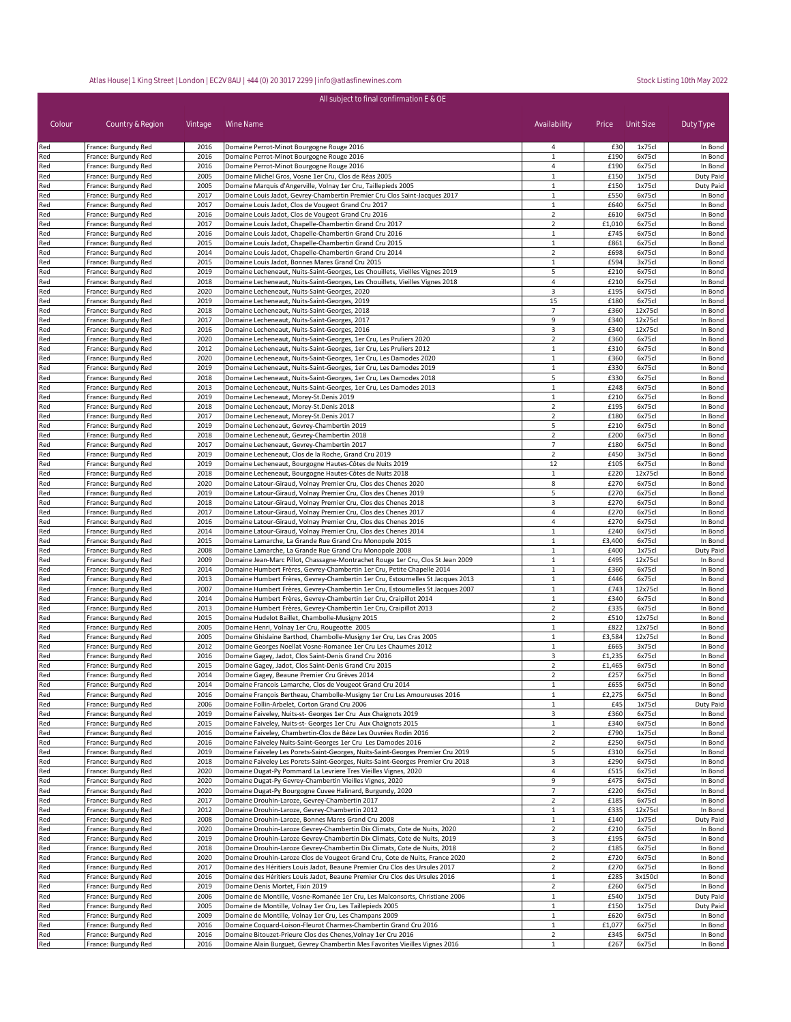| All subject to final confirmation E & OE |                                              |              |                                                                                                                                                                    |                                  |                |                    |                      |
|------------------------------------------|----------------------------------------------|--------------|--------------------------------------------------------------------------------------------------------------------------------------------------------------------|----------------------------------|----------------|--------------------|----------------------|
| Colour                                   | Country & Region                             | Vintage      | Wine Name                                                                                                                                                          | Availability                     |                | Price Unit Size    | Duty Type            |
| Red                                      | France: Burgundy Red                         | 2016         | Domaine Perrot-Minot Bourgogne Rouge 2016                                                                                                                          | 4                                | £30            | 1x75cl             | In Bond              |
| Red                                      | France: Burgundy Red                         | 2016         | Domaine Perrot-Minot Bourgogne Rouge 2016                                                                                                                          | $\mathbf 1$                      | £190           | 6x75cl             | In Bond              |
| Red<br>Red                               | France: Burgundy Red<br>France: Burgundy Red | 2016<br>2005 | Domaine Perrot-Minot Bourgogne Rouge 2016<br>Domaine Michel Gros, Vosne 1er Cru, Clos de Réas 2005                                                                 | 4<br>$\mathbf{1}$                | £190<br>£150   | 6x75cl<br>1x75cl   | In Bond<br>Duty Paid |
| Red                                      | France: Burgundy Red                         | 2005         | Domaine Marquis d'Angerville, Volnay 1er Cru, Taillepieds 2005                                                                                                     | 1                                | £150           | 1x75cl             | Duty Paid            |
| Red                                      | France: Burgundy Red                         | 2017         | Domaine Louis Jadot, Gevrey-Chambertin Premier Cru Clos Saint-Jacques 2017                                                                                         | $\mathbf{1}$                     | £550           | 6x75cl             | In Bond              |
| Red                                      | France: Burgundy Red                         | 2017         | Domaine Louis Jadot, Clos de Vougeot Grand Cru 2017                                                                                                                | 1                                | £640           | 6x75cl             | In Bond              |
| Red                                      | France: Burgundy Red<br>France: Burgundy Red | 2016<br>2017 | Domaine Louis Jadot, Clos de Vougeot Grand Cru 2016<br>Domaine Louis Jadot, Chapelle-Chambertin Grand Cru 2017                                                     | $\overline{2}$<br>$\overline{2}$ | £610<br>£1,010 | 6x75cl<br>6x75cl   | In Bond              |
| Red<br>Red                               | France: Burgundy Red                         | 2016         | Domaine Louis Jadot, Chapelle-Chambertin Grand Cru 2016                                                                                                            | $\mathbf{1}$                     | £745           | 6x75cl             | In Bond<br>In Bond   |
| Red                                      | France: Burgundy Red                         | 2015         | Domaine Louis Jadot, Chapelle-Chambertin Grand Cru 2015                                                                                                            | $\mathbf{1}$                     | £861           | 6x75cl             | In Bond              |
| Red                                      | France: Burgundy Red                         | 2014         | Domaine Louis Jadot, Chapelle-Chambertin Grand Cru 2014                                                                                                            | $\overline{2}$                   | £698           | 6x75cl             | In Bond              |
| Red                                      | France: Burgundy Red                         | 2015         | Domaine Louis Jadot, Bonnes Mares Grand Cru 2015                                                                                                                   | $\mathbf{1}$                     | £594           | 3x75cl             | In Bond              |
| Red<br>Red                               | France: Burgundy Red<br>France: Burgundy Red | 2019<br>2018 | Domaine Lecheneaut, Nuits-Saint-Georges, Les Chouillets, Vieilles Vignes 2019<br>Domaine Lecheneaut, Nuits-Saint-Georges, Les Chouillets, Vieilles Vignes 2018     | 5<br>4                           | £210<br>£210   | 6x75cl<br>6x75cl   | In Bond<br>In Bond   |
| Red                                      | France: Burgundy Red                         | 2020         | Domaine Lecheneaut, Nuits-Saint-Georges, 2020                                                                                                                      | 3                                | £195           | 6x75cl             | In Bond              |
| Red                                      | France: Burgundy Red                         | 2019         | Domaine Lecheneaut, Nuits-Saint-Georges, 2019                                                                                                                      | 15                               | £180           | 6x75cl             | In Bond              |
| Red                                      | France: Burgundy Red                         | 2018         | Domaine Lecheneaut, Nuits-Saint-Georges, 2018                                                                                                                      | $\overline{7}$                   | £360           | 12x75cl            | In Bond              |
| Red                                      | France: Burgundy Red                         | 2017         | Domaine Lecheneaut, Nuits-Saint-Georges, 2017                                                                                                                      | 9                                | £340           | 12x75cl            | In Bond              |
| Red<br>Red                               | France: Burgundy Red<br>France: Burgundy Red | 2016<br>2020 | Domaine Lecheneaut, Nuits-Saint-Georges, 2016<br>Domaine Lecheneaut, Nuits-Saint-Georges, 1er Cru, Les Pruliers 2020                                               | 3<br>$\overline{2}$              | £340<br>£360   | 12x75cl<br>6x75cl  | In Bond<br>In Bond   |
| Red                                      | France: Burgundy Red                         | 2012         | Domaine Lecheneaut, Nuits-Saint-Georges, 1er Cru, Les Pruliers 2012                                                                                                | $\mathbf{1}$                     | £310           | 6x75cl             | In Bond              |
| Red                                      | France: Burgundy Red                         | 2020         | Domaine Lecheneaut, Nuits-Saint-Georges, 1er Cru, Les Damodes 2020                                                                                                 | $\mathbf{1}$                     | £360           | 6x75cl             | In Bond              |
| Red                                      | France: Burgundy Red                         | 2019         | Domaine Lecheneaut, Nuits-Saint-Georges, 1er Cru, Les Damodes 2019                                                                                                 | $\mathbf{1}$                     | £330           | 6x75cl             | In Bond              |
| Red                                      | France: Burgundy Red                         | 2018         | Domaine Lecheneaut, Nuits-Saint-Georges, 1er Cru, Les Damodes 2018                                                                                                 | 5                                | £330           | 6x75cl             | In Bond              |
| Red<br>Red                               | France: Burgundy Red<br>France: Burgundy Red | 2013<br>2019 | Domaine Lecheneaut, Nuits-Saint-Georges, 1er Cru, Les Damodes 2013<br>Domaine Lecheneaut, Morey-St.Denis 2019                                                      | $\mathbf{1}$<br>$\mathbf{1}$     | £248<br>£210   | 6x75cl<br>6x75cl   | In Bond<br>In Bond   |
| Red                                      | France: Burgundy Red                         | 2018         | Domaine Lecheneaut, Morey-St.Denis 2018                                                                                                                            | $\overline{2}$                   | £195           | 6x75cl             | In Bond              |
| Red                                      | France: Burgundy Red                         | 2017         | Domaine Lecheneaut, Morey-St.Denis 2017                                                                                                                            | $\mathbf 2$                      | £180           | 6x75cl             | In Bond              |
| Red                                      | France: Burgundy Red                         | 2019         | Domaine Lecheneaut, Gevrey-Chambertin 2019                                                                                                                         | 5                                | £210           | 6x75cl             | In Bond              |
| Red                                      | France: Burgundy Red                         | 2018         | Domaine Lecheneaut, Gevrey-Chambertin 2018                                                                                                                         | $\overline{2}$                   | £200           | 6x75cl             | In Bond              |
| Red                                      | France: Burgundy Red                         | 2017         | Domaine Lecheneaut, Gevrey-Chambertin 2017<br>Domaine Lecheneaut, Clos de la Roche, Grand Cru 2019                                                                 | 7                                | £180           | 6x75cl             | In Bond              |
| Red<br>Red                               | France: Burgundy Red<br>France: Burgundy Red | 2019<br>2019 | Domaine Lecheneaut, Bourgogne Hautes-Côtes de Nuits 2019                                                                                                           | $\mathbf 2$<br>12                | £450<br>£105   | 3x75cl<br>6x75cl   | In Bond<br>In Bond   |
| Red                                      | France: Burgundy Red                         | 2018         | Domaine Lecheneaut, Bourgogne Hautes-Côtes de Nuits 2018                                                                                                           | $\mathbf{1}$                     | £220           | 12x75cl            | In Bond              |
| Red                                      | France: Burgundy Red                         | 2020         | Domaine Latour-Giraud, Volnay Premier Cru, Clos des Chenes 2020                                                                                                    | 8                                | £270           | 6x75cl             | In Bond              |
| Red                                      | France: Burgundy Red                         | 2019         | Domaine Latour-Giraud, Volnay Premier Cru, Clos des Chenes 2019                                                                                                    | 5                                | £270           | 6x75cl             | In Bond              |
| Red                                      | France: Burgundy Red                         | 2018         | Domaine Latour-Giraud, Volnay Premier Cru, Clos des Chenes 2018                                                                                                    | 3                                | £270           | 6x75cl             | In Bond              |
| Red<br>Red                               | France: Burgundy Red<br>France: Burgundy Red | 2017<br>2016 | Domaine Latour-Giraud, Volnay Premier Cru, Clos des Chenes 2017<br>Domaine Latour-Giraud, Volnay Premier Cru, Clos des Chenes 2016                                 | 4<br>4                           | £270<br>£270   | 6x75cl<br>6x75cl   | In Bond<br>In Bond   |
| Red                                      | France: Burgundy Red                         | 2014         | Domaine Latour-Giraud, Volnay Premier Cru, Clos des Chenes 2014                                                                                                    | $\mathbf{1}$                     | £240           | 6x75cl             | In Bond              |
| Red                                      | France: Burgundy Red                         | 2015         | Domaine Lamarche, La Grande Rue Grand Cru Monopole 2015                                                                                                            | $\mathbf{1}$                     | £3,400         | 6x75cl             | In Bond              |
| Red                                      | France: Burgundy Red                         | 2008         | Domaine Lamarche, La Grande Rue Grand Cru Monopole 2008                                                                                                            | $\mathbf{1}$                     | £400           | 1x75cl             | Duty Paid            |
| Red                                      | France: Burgundy Red                         | 2009         | Domaine Jean-Marc Pillot, Chassagne-Montrachet Rouge 1er Cru, Clos St Jean 2009                                                                                    | $\mathbf{1}$                     | £495           | 12x75cl            | In Bond              |
| Red<br>Red                               | France: Burgundy Red<br>France: Burgundy Red | 2014<br>2013 | Domaine Humbert Frères, Gevrey-Chambertin 1er Cru, Petite Chapelle 2014                                                                                            | $\mathbf{1}$<br>$\mathbf{1}$     | £360<br>£446   | 6x75cl<br>6x75cl   | In Bond<br>In Bond   |
| Red                                      | France: Burgundy Red                         | 2007         | Domaine Humbert Frères, Gevrey-Chambertin 1er Cru, Estournelles St Jacques 2013<br>Domaine Humbert Frères, Gevrey-Chambertin 1er Cru, Estournelles St Jacques 2007 | $\mathbf{1}$                     | £743           | 12x75cl            | In Bond              |
| Red                                      | France: Burgundy Red                         | 2014         | Domaine Humbert Frères, Gevrey-Chambertin 1er Cru, Craipillot 2014                                                                                                 | $\mathbf{1}$                     | £340           | 6x75cl             | In Bond              |
| Red                                      | France: Burgundy Red                         | 2013         | Domaine Humbert Frères, Gevrey-Chambertin 1er Cru, Craipillot 2013                                                                                                 | $\overline{2}$                   | £335           | 6x75cl             | In Bond              |
| Red                                      | France: Burgundy Red                         | 2015         | Domaine Hudelot Baillet, Chambolle-Musigny 2015                                                                                                                    | $\overline{2}$                   | £510           | 12x75cl            | In Bond              |
| Red<br>Red                               | France: Burgundy Red<br>France: Burgundy Red | 2005<br>2005 | Domaine Henri, Volnay 1er Cru, Rougeotte 2005<br>Domaine Ghislaine Barthod, Chambolle-Musigny 1er Cru, Les Cras 2005                                               | $\mathbf{1}$<br>$\mathbf{1}$     | £822<br>£3,584 | 12x75cl<br>12x75cl | In Bond<br>In Bond   |
| Red                                      | France: Burgundy Red                         | 2012         | Domaine Georges Noellat Vosne-Romanee 1er Cru Les Chaumes 2012                                                                                                     | 1                                | £665           | 3x75cl             | In Bond              |
| Red                                      | France: Burgundy Red                         | 2016         | Domaine Gagey, Jadot, Clos Saint-Denis Grand Cru 2016                                                                                                              | 3                                | £1,235         | 6x75cl             | In Bond              |
| Red                                      | France: Burgundy Red                         | 2015         | Domaine Gagey, Jadot, Clos Saint-Denis Grand Cru 2015                                                                                                              | $\overline{2}$                   | £1,465         | 6x75cl             | In Bond              |
| Red                                      | France: Burgundy Red                         | 2014         | Domaine Gagey, Beaune Premier Cru Grèves 2014                                                                                                                      |                                  | £257           | 6x75cl             | In Bond              |
| Red                                      | France: Burgundy Red                         | 2014         | Domaine Francois Lamarche, Clos de Vougeot Grand Cru 2014                                                                                                          | 1                                | £655           | 6x75cl             | In Bond              |
| Red<br>Red                               | France: Burgundy Red<br>France: Burgundy Red | 2016<br>2006 | Domaine François Bertheau, Chambolle-Musigny 1er Cru Les Amoureuses 2016<br>Domaine Follin-Arbelet, Corton Grand Cru 2006                                          | $\mathbf{1}$<br>1                | £2,275<br>£45  | 6x75cl<br>1x75cl   | In Bond<br>Duty Paid |
| Red                                      | France: Burgundy Red                         | 2019         | Domaine Faiveley, Nuits-st- Georges 1er Cru Aux Chaignots 2019                                                                                                     | 3                                | £360           | 6x75cl             | In Bond              |
| Red                                      | France: Burgundy Red                         | 2015         | Domaine Faiveley, Nuits-st- Georges 1er Cru Aux Chaignots 2015                                                                                                     | $\mathbf{1}$                     | £340           | 6x75cl             | In Bond              |
| Red                                      | France: Burgundy Red                         | 2016         | Domaine Faiveley, Chambertin-Clos de Bèze Les Ouvrées Rodin 2016                                                                                                   | $\mathbf 2$                      | £790           | 1x75cl             | In Bond              |
| Red                                      | France: Burgundy Red                         | 2016<br>2019 | Domaine Faiveley Nuits-Saint-Georges 1er Cru Les Damodes 2016                                                                                                      | $\overline{2}$<br>5              | £250           | 6x75cl<br>6x75cl   | In Bond              |
| Red<br>Red                               | France: Burgundy Red<br>France: Burgundy Red | 2018         | Domaine Faiveley Les Porets-Saint-Georges, Nuits-Saint-Georges Premier Cru 2019<br>Domaine Faiveley Les Porets-Saint-Georges, Nuits-Saint-Georges Premier Cru 2018 | 3                                | £310<br>£290   | 6x75cl             | In Bond<br>In Bond   |
| Red                                      | France: Burgundy Red                         | 2020         | Domaine Dugat-Py Pommard La Levriere Tres Vieilles Vignes, 2020                                                                                                    | 4                                | £515           | 6x75cl             | In Bond              |
| Red                                      | France: Burgundy Red                         | 2020         | Domaine Dugat-Py Gevrey-Chambertin Vieilles Vignes, 2020                                                                                                           | 9                                | £475           | 6x75cl             | In Bond              |
| Red                                      | France: Burgundy Red                         | 2020         | Domaine Dugat-Py Bourgogne Cuvee Halinard, Burgundy, 2020                                                                                                          | $\overline{7}$                   | £220           | 6x75cl             | In Bond              |
| Red                                      | France: Burgundy Red                         | 2017         | Domaine Drouhin-Laroze, Gevrey-Chambertin 2017                                                                                                                     | $\overline{2}$                   | £185           | 6x75cl             | In Bond              |
| Red<br>Red                               | France: Burgundy Red<br>France: Burgundy Red | 2012<br>2008 | Domaine Drouhin-Laroze, Gevrey-Chambertin 2012<br>Domaine Drouhin-Laroze, Bonnes Mares Grand Cru 2008                                                              | $\mathbf{1}$<br>$\mathbf{1}$     | £335<br>£140   | 12x75cl<br>1x75cl  | In Bond<br>Duty Paid |
| Red                                      | France: Burgundy Red                         | 2020         | Domaine Drouhin-Laroze Gevrey-Chambertin Dix Climats, Cote de Nuits, 2020                                                                                          | $\overline{2}$                   | £210           | 6x75cl             | In Bond              |
| Red                                      | France: Burgundy Red                         | 2019         | Domaine Drouhin-Laroze Gevrey-Chambertin Dix Climats, Cote de Nuits, 2019                                                                                          | 3                                | £195           | 6x75cl             | In Bond              |
| Red                                      | France: Burgundy Red                         | 2018         | Domaine Drouhin-Laroze Gevrey-Chambertin Dix Climats, Cote de Nuits, 2018                                                                                          | $\overline{2}$                   | £185           | 6x75cl             | In Bond              |
| Red                                      | France: Burgundy Red                         | 2020         | Domaine Drouhin-Laroze Clos de Vougeot Grand Cru, Cote de Nuits, France 2020                                                                                       | $\overline{2}$                   | £720           | 6x75cl             | In Bond              |
| Red                                      | France: Burgundy Red                         | 2017         | Domaine des Héritiers Louis Jadot, Beaune Premier Cru Clos des Ursules 2017                                                                                        | $\overline{2}$                   | £270           | 6x75cl             | In Bond              |
| Red<br>Red                               | France: Burgundy Red<br>France: Burgundy Red | 2016<br>2019 | Domaine des Héritiers Louis Jadot, Beaune Premier Cru Clos des Ursules 2016<br>Domaine Denis Mortet, Fixin 2019                                                    | $\mathbf{1}$<br>$\overline{2}$   | £285<br>£260   | 3x150cl<br>6x75cl  | In Bond<br>In Bond   |
| Red                                      | France: Burgundy Red                         | 2006         | Domaine de Montille, Vosne-Romanée 1er Cru, Les Malconsorts, Christiane 2006                                                                                       | $\mathbf{1}$                     | £540           | 1x75cl             | Duty Paid            |
| Red                                      | France: Burgundy Red                         | 2005         | Domaine de Montille, Volnay 1er Cru, Les Taillepieds 2005                                                                                                          | $\mathbf{1}$                     | £150           | 1x75cl             | Duty Paid            |
| Red                                      | France: Burgundy Red                         | 2009         | Domaine de Montille, Volnay 1er Cru, Les Champans 2009                                                                                                             | $\mathbf{1}$                     | £620           | 6x75cl             | In Bond              |
| Red                                      | France: Burgundy Red                         | 2016         | Domaine Coquard-Loison-Fleurot Charmes-Chambertin Grand Cru 2016                                                                                                   | $\mathbf{1}$                     | £1,077         | 6x75cl             | In Bond              |
| Red<br>Red                               | France: Burgundy Red<br>France: Burgundy Red | 2016<br>2016 | Domaine Bitouzet-Prieure Clos des Chenes, Volnay 1er Cru 2016<br>Domaine Alain Burguet, Gevrey Chambertin Mes Favorites Vieilles Vignes 2016                       | $\overline{2}$<br>$\mathbf{1}$   | £345<br>£267   | 6x75cl<br>6x75cl   | In Bond<br>In Bond   |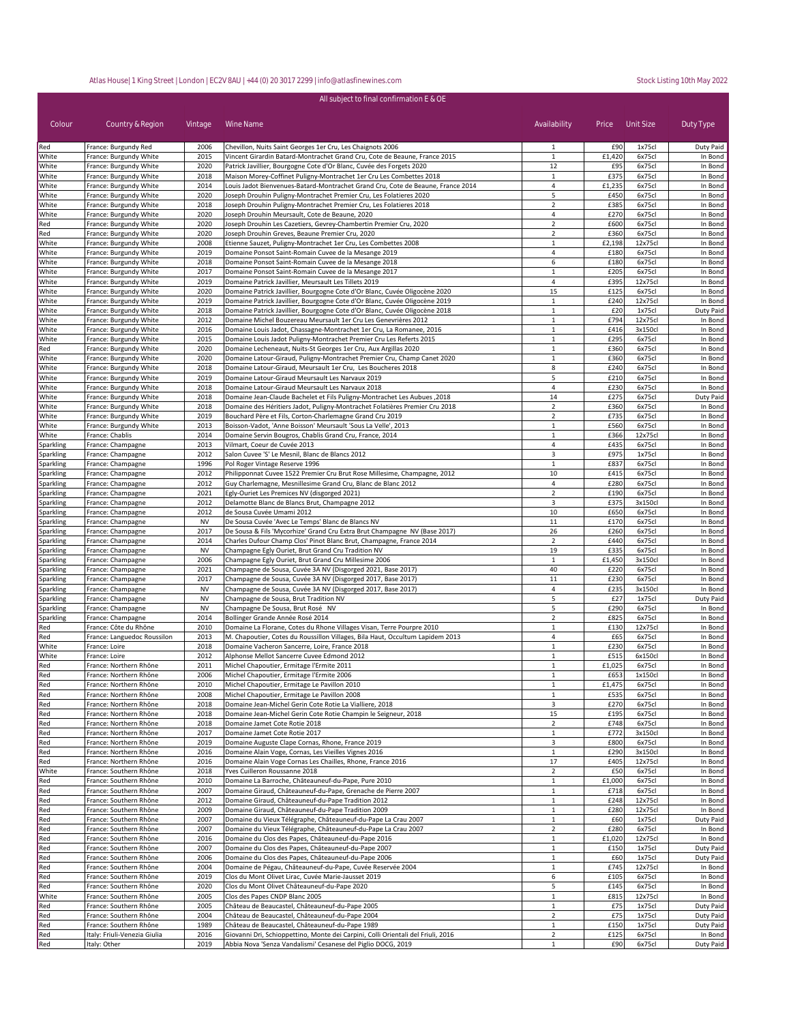| Colour                 | Country & Region                                 | Vintage           | Wine Name                                                                                                                                        | Availability                   | Price          | Unit Size         | Duty Type            |
|------------------------|--------------------------------------------------|-------------------|--------------------------------------------------------------------------------------------------------------------------------------------------|--------------------------------|----------------|-------------------|----------------------|
| Red                    | France: Burgundy Red                             | 2006              | Chevillon, Nuits Saint Georges 1er Cru, Les Chaignots 2006                                                                                       | 1                              | £90            | 1x75cl            | Duty Paid            |
| White                  | France: Burgundy White                           | 2015              | Vincent Girardin Batard-Montrachet Grand Cru, Cote de Beaune, France 2015                                                                        | $\mathbf{1}$                   | £1,420         | 6x75cl            | In Bond              |
| White<br>White         | France: Burgundy White<br>France: Burgundy White | 2020<br>2018      | Patrick Javillier, Bourgogne Cote d'Or Blanc, Cuvée des Forgets 2020<br>Maison Morey-Coffinet Puligny-Montrachet 1er Cru Les Combettes 2018      | 12<br>$\mathbf{1}$             | £95<br>£375    | 6x75cl<br>6x75cl  | In Bond<br>In Bond   |
| White                  | France: Burgundy White                           | 2014              | Louis Jadot Bienvenues-Batard-Montrachet Grand Cru, Cote de Beaune, France 2014                                                                  | 4                              | £1,235         | 6x75cl            | In Bond              |
| White                  | France: Burgundy White                           | 2020              | Joseph Drouhin Puligny-Montrachet Premier Cru, Les Folatieres 2020                                                                               | 5                              | £450           | 6x75cl            | In Bond              |
| White                  | France: Burgundy White                           | 2018              | Joseph Drouhin Puligny-Montrachet Premier Cru, Les Folatieres 2018                                                                               | $\overline{2}$                 | £385           | 6x75cl            | In Bond              |
| White                  | France: Burgundy White                           | 2020              | Joseph Drouhin Meursault, Cote de Beaune, 2020                                                                                                   | 4                              | £270           | 6x75cl            | In Bond              |
| Red                    | France: Burgundy White                           | 2020              | Joseph Drouhin Les Cazetiers, Gevrey-Chambertin Premier Cru, 2020                                                                                | $\overline{2}$                 | £600           | 6x75cl            | In Bond              |
| Red                    | France: Burgundy White                           | 2020              | Joseph Drouhin Greves, Beaune Premier Cru, 2020                                                                                                  | $\overline{2}$                 | £360           | 6x75cl            | In Bond              |
| White                  | France: Burgundy White                           | 2008              | Etienne Sauzet, Puligny-Montrachet 1er Cru, Les Combettes 2008                                                                                   | $\mathbf{1}$                   | £2,198         | 12x75cl           | In Bond              |
| White                  | France: Burgundy White                           | 2019              | Domaine Ponsot Saint-Romain Cuvee de la Mesange 2019                                                                                             | 4                              | £180           | 6x75cl            | In Bond              |
| White<br>White         | France: Burgundy White<br>France: Burgundy White | 2018<br>2017      | Domaine Ponsot Saint-Romain Cuvee de la Mesange 2018<br>Domaine Ponsot Saint-Romain Cuvee de la Mesange 2017                                     | 6<br>$\mathbf{1}$              | £180<br>£205   | 6x75cl<br>6x75cl  | In Bond<br>In Bond   |
| White                  | France: Burgundy White                           | 2019              | Domaine Patrick Javillier, Meursault Les Tillets 2019                                                                                            | 4                              | £395           | 12x75cl           | In Bond              |
| White                  | France: Burgundy White                           | 2020              | Domaine Patrick Javillier, Bourgogne Cote d'Or Blanc, Cuvée Oligocène 2020                                                                       | 15                             | £125           | 6x75cl            | In Bond              |
| White                  | France: Burgundy White                           | 2019              | Domaine Patrick Javillier, Bourgogne Cote d'Or Blanc, Cuvée Oligocène 2019                                                                       | $\mathbf{1}$                   | £240           | 12x75cl           | In Bond              |
| White                  | France: Burgundy White                           | 2018              | Domaine Patrick Javillier, Bourgogne Cote d'Or Blanc, Cuvée Oligocène 2018                                                                       | $\mathbf{1}$                   | £20            | 1x75cl            | Duty Paid            |
| White                  | France: Burgundy White                           | 2012              | Domaine Michel Bouzereau Meursault 1er Cru Les Genevrières 2012                                                                                  | $\mathbf{1}$                   | £794           | 12x75cl           | In Bond              |
| White                  | France: Burgundy White                           | 2016              | Domaine Louis Jadot, Chassagne-Montrachet 1er Cru, La Romanee, 2016                                                                              | $\mathbf{1}$                   | £416           | 3x150cl           | In Bond              |
| White                  | France: Burgundy White                           | 2015              | Domaine Louis Jadot Puligny-Montrachet Premier Cru Les Referts 2015                                                                              | 1                              | £295           | 6x75cl            | In Bond              |
| Red                    | France: Burgundy White                           | 2020              | Domaine Lecheneaut, Nuits-St Georges 1er Cru, Aux Argillas 2020                                                                                  | $\mathbf{1}$                   | £360           | 6x75cl            | In Bond              |
| White<br>White         | France: Burgundy White<br>France: Burgundy White | 2020<br>2018      | Domaine Latour-Giraud, Puligny-Montrachet Premier Cru, Champ Canet 2020<br>Domaine Latour-Giraud, Meursault 1er Cru, Les Boucheres 2018          | 1<br>8                         | £360<br>£240   | 6x75cl<br>6x75cl  | In Bond<br>In Bond   |
| White                  | France: Burgundy White                           | 2019              | Domaine Latour-Giraud Meursault Les Narvaux 2019                                                                                                 | 5                              | £210           | 6x75cl            | In Bond              |
| White                  | France: Burgundy White                           | 2018              | Domaine Latour-Giraud Meursault Les Narvaux 2018                                                                                                 | $\overline{4}$                 | £230           | 6x75cl            | In Bond              |
| White                  | France: Burgundy White                           | 2018              | Domaine Jean-Claude Bachelet et Fils Puligny-Montrachet Les Aubues, 2018                                                                         | 14                             | £275           | 6x75cl            | Duty Paid            |
| White                  | France: Burgundy White                           | 2018              | Domaine des Héritiers Jadot, Puligny-Montrachet Folatières Premier Cru 2018                                                                      | $\overline{2}$                 | £360           | 6x75cl            | In Bond              |
| White                  | France: Burgundy White                           | 2019              | Bouchard Père et Fils, Corton-Charlemagne Grand Cru 2019                                                                                         | $\overline{2}$                 | £735           | 6x75cl            | In Bond              |
| White                  | France: Burgundy White                           | 2013              | Boisson-Vadot, 'Anne Boisson' Meursault 'Sous La Velle', 2013                                                                                    | $\mathbf{1}$                   | £560           | 6x75cl            | In Bond              |
| White                  | France: Chablis                                  | 2014              | Domaine Servin Bougros, Chablis Grand Cru, France, 2014                                                                                          | $\mathbf{1}$                   | £366           | 12x75cl           | In Bond              |
| Sparkling              | France: Champagne                                | 2013<br>2012      | Vilmart, Coeur de Cuvée 2013<br>Salon Cuvee 'S' Le Mesnil, Blanc de Blancs 2012                                                                  | 4<br>3                         | £435<br>£975   | 6x75cl<br>1x75cl  | In Bond<br>In Bond   |
| Sparkling<br>Sparkling | France: Champagne<br>France: Champagne           | 1996              | Pol Roger Vintage Reserve 1996                                                                                                                   | $\mathbf{1}$                   | £837           | 6x75cl            | In Bond              |
| Sparkling              | France: Champagne                                | 2012              | Philipponnat Cuvee 1522 Premier Cru Brut Rose Millesime, Champagne, 2012                                                                         | 10                             | £415           | 6x75cl            | In Bond              |
| Sparkling              | France: Champagne                                | 2012              | Guy Charlemagne, Mesnillesime Grand Cru, Blanc de Blanc 2012                                                                                     | 4                              | £280           | 6x75cl            | In Bond              |
| Sparkling              | France: Champagne                                | 2021              | Egly-Ouriet Les Premices NV (disgorged 2021)                                                                                                     | $\overline{2}$                 | £190           | 6x75cl            | In Bond              |
| Sparkling              | France: Champagne                                | 2012              | Delamotte Blanc de Blancs Brut, Champagne 2012                                                                                                   | 3                              | £375           | 3x150cl           | In Bond              |
| Sparkling              | France: Champagne                                | 2012              | de Sousa Cuvée Umami 2012                                                                                                                        | 10                             | £650           | 6x75cl            | In Bond              |
| Sparkling              | France: Champagne                                | <b>NV</b>         | De Sousa Cuvée 'Avec Le Temps' Blanc de Blancs NV                                                                                                | 11                             | £170           | 6x75cl            | In Bond              |
| Sparkling              | France: Champagne                                | 2017              | De Sousa & Fils 'Mycorhize' Grand Cru Extra Brut Champagne NV (Base 2017)                                                                        | 26                             | £260           | 6x75cl            | In Bond              |
| Sparkling              | France: Champagne<br>France: Champagne           | 2014<br><b>NV</b> | Charles Dufour Champ Clos' Pinot Blanc Brut, Champagne, France 2014<br>Champagne Egly Ouriet, Brut Grand Cru Tradition NV                        | $\overline{2}$<br>19           | £440<br>£335   | 6x75cl<br>6x75cl  | In Bond<br>In Bond   |
| Sparkling<br>Sparkling | France: Champagne                                | 2006              | Champagne Egly Ouriet, Brut Grand Cru Millesime 2006                                                                                             | 1                              | £1,450         | 3x150cl           | In Bond              |
| Sparkling              | France: Champagne                                | 2021              | Champagne de Sousa, Cuvée 3A NV (Disgorged 2021, Base 2017)                                                                                      | 40                             | £220           | 6x75cl            | In Bond              |
| Sparkling              | France: Champagne                                | 2017              | Champagne de Sousa, Cuvée 3A NV (Disgorged 2017, Base 2017)                                                                                      | 11                             | £230           | 6x75cl            | In Bond              |
| Sparkling              | France: Champagne                                | <b>NV</b>         | Champagne de Sousa, Cuvée 3A NV (Disgorged 2017, Base 2017)                                                                                      | 4                              | £235           | 3x150cl           | In Bond              |
| Sparkling              | France: Champagne                                | <b>NV</b>         | Champagne de Sousa, Brut Tradition NV                                                                                                            | 5                              | £27            | 1x75cl            | Duty Paid            |
| Sparkling              | France: Champagne                                | <b>NV</b>         | Champagne De Sousa, Brut Rosé NV                                                                                                                 | 5                              | £290           | 6x75cl            | In Bond              |
| Sparkling              | France: Champagne                                | 2014              | Bollinger Grande Année Rosé 2014                                                                                                                 | $\overline{2}$                 | £825           | 6x75cl            | In Bond              |
| Red                    | France: Côte du Rhône                            | 2010              | Domaine La Florane, Cotes du Rhone Villages Visan, Terre Pourpre 2010                                                                            | $\mathbf{1}$                   | £130           | 12x75cl           | In Bond              |
| Red<br>White           | France: Languedoc Roussilon<br>France: Loire     | 2013<br>2018      | M. Chapoutier, Cotes du Roussillon Villages, Bila Haut, Occultum Lapidem 2013<br>Domaine Vacheron Sancerre, Loire, France 2018                   | 4<br>$\mathbf{1}$              | £65<br>£230    | 6x75cl<br>6x75cl  | In Bond<br>In Bond   |
| White                  | France: Loire                                    | 2012              | Alphonse Mellot Sancerre Cuvee Edmond 2012                                                                                                       | $\mathbf{1}$                   | £515           | 6x150cl           | In Bond              |
| Red                    | France: Northern Rhône                           | 2011              | Michel Chapoutier, Ermitage l'Ermite 2011                                                                                                        | $\mathbf{1}$                   | £1,025         | 6x75cl            | In Bond              |
| Red                    | France: Northern Rhône                           | 2006              | Michel Chapoutier, Ermitage l'Ermite 2006                                                                                                        | $\mathbf{1}$                   | £653           | 1x150cl           | In Bond              |
| heR                    | France: Northern Rhône                           | 2010              | Michel Chanoutier, Ermitage Le Pavillon 2010                                                                                                     | $\mathbf{1}$                   | £1.475         | 6x75cl            | In Bond              |
| Red                    | France: Northern Rhône                           | 2008              | Michel Chapoutier, Ermitage Le Pavillon 2008                                                                                                     | $\mathbf{1}$                   | £535           | 6x75cl            | In Bond              |
| Red                    | France: Northern Rhône                           | 2018              | Domaine Jean-Michel Gerin Cote Rotie La Vialliere, 2018                                                                                          | 3                              | £270           | 6x75cl            | In Bond              |
| Red                    | France: Northern Rhône                           | 2018              | Domaine Jean-Michel Gerin Cote Rotie Champin le Seigneur, 2018                                                                                   | 15                             | £195           | 6x75cl            | In Bond              |
| Red                    | France: Northern Rhône                           | 2018              | Domaine Jamet Cote Rotie 2018                                                                                                                    | $\overline{2}$                 | £748           | 6x75cl            | In Bond              |
| Red<br>Red             | France: Northern Rhône<br>France: Northern Rhône | 2017<br>2019      | Domaine Jamet Cote Rotie 2017<br>Domaine Auguste Clape Cornas, Rhone, France 2019                                                                | $\mathbf{1}$<br>3              | £772<br>£800   | 3x150cl<br>6x75cl | In Bond<br>In Bond   |
| Red                    | France: Northern Rhône                           | 2016              | Domaine Alain Voge, Cornas, Les Vieilles Vignes 2016                                                                                             | $\mathbf{1}$                   | £290           | 3x150cl           | In Bond              |
| Red                    | France: Northern Rhône                           | 2016              | Domaine Alain Voge Cornas Les Chailles, Rhone, France 2016                                                                                       | 17                             | £405           | 12x75cl           | In Bond              |
| White                  | France: Southern Rhône                           | 2018              | Yves Cuilleron Roussanne 2018                                                                                                                    | $\overline{2}$                 | £50            | 6x75cl            | In Bond              |
| Red                    | France: Southern Rhône                           | 2010              | Domaine La Barroche, Châteauneuf-du-Pape, Pure 2010                                                                                              | $\mathbf{1}$                   | £1,000         | 6x75cl            | In Bond              |
| Red                    | France: Southern Rhône                           | 2007              | Domaine Giraud, Châteauneuf-du-Pape, Grenache de Pierre 2007                                                                                     | $\mathbf{1}$                   | £718           | 6x75cl            | In Bond              |
| Red                    | France: Southern Rhône                           | 2012              | Domaine Giraud, Châteauneuf-du-Pape Tradition 2012                                                                                               | $\mathbf{1}$                   | £248           | 12x75cl           | In Bond              |
| Red                    | France: Southern Rhône                           | 2009              | Domaine Giraud, Châteauneuf-du-Pape Tradition 2009                                                                                               | $\mathbf{1}$                   | £280           | 12x75cl           | In Bond              |
| Red                    | France: Southern Rhône<br>France: Southern Rhône | 2007              | Domaine du Vieux Télégraphe, Châteauneuf-du-Pape La Crau 2007                                                                                    | $\mathbf{1}$                   | £60            | 1x75cl            | Duty Paid            |
| Red<br>Red             | France: Southern Rhône                           | 2007<br>2016      | Domaine du Vieux Télégraphe, Châteauneuf-du-Pape La Crau 2007<br>Domaine du Clos des Papes, Châteauneuf-du-Pape 2016                             | $\overline{2}$<br>$\mathbf{1}$ | £280<br>£1,020 | 6x75cl<br>12x75cl | In Bond<br>In Bond   |
| Red                    | France: Southern Rhône                           | 2007              | Domaine du Clos des Papes, Châteauneuf-du-Pape 2007                                                                                              | $\mathbf{1}$                   | £150           | 1x75cl            | Duty Paid            |
| Red                    | France: Southern Rhône                           | 2006              | Domaine du Clos des Papes, Châteauneuf-du-Pape 2006                                                                                              | $\mathbf{1}$                   | £60            | 1x75cl            | Duty Paid            |
| Red                    | France: Southern Rhône                           | 2004              | Domaine de Pégau, Châteauneuf-du-Pape, Cuvée Reservée 2004                                                                                       | $\mathbf 1$                    | £745           | 12x75cl           | In Bond              |
| Red                    | France: Southern Rhône                           | 2019              | Clos du Mont Olivet Lirac, Cuvée Marie-Jausset 2019                                                                                              | 6                              | £105           | 6x75cl            | In Bond              |
| Red                    | France: Southern Rhône                           | 2020              | Clos du Mont Olivet Châteauneuf-du-Pape 2020                                                                                                     | 5                              | £145           | 6x75cl            | In Bond              |
| White                  | France: Southern Rhône                           | 2005              | Clos des Papes CNDP Blanc 2005                                                                                                                   | $\mathbf{1}$                   | £815           | 12x75cl           | In Bond              |
| Red                    | France: Southern Rhône                           | 2005              | Château de Beaucastel, Châteauneuf-du-Pape 2005                                                                                                  | $\mathbf{1}$                   | £75            | 1x75cl            | Duty Paid            |
| Red                    | France: Southern Rhône                           | 2004              | Château de Beaucastel, Châteauneuf-du-Pape 2004                                                                                                  | $\overline{2}$                 | £75            | 1x75cl            | Duty Paid            |
| Red                    | France: Southern Rhône                           | 1989              | Château de Beaucastel, Châteauneuf-du-Pape 1989                                                                                                  | $\mathbf{1}$                   | £150           | 1x75cl            | Duty Paid            |
| Red<br>Red             | Italy: Friuli-Venezia Giulia<br>Italy: Other     | 2016<br>2019      | Giovanni Dri, Schioppettino, Monte dei Carpini, Colli Orientali del Friuli, 2016<br>Abbia Nova 'Senza Vandalismi' Cesanese del Piglio DOCG, 2019 | $\overline{2}$<br>$\mathbf{1}$ | £125<br>£90    | 6x75cl<br>6x75cl  | In Bond<br>Duty Paid |
|                        |                                                  |                   |                                                                                                                                                  |                                |                |                   |                      |

All subject to final confirmation E & OE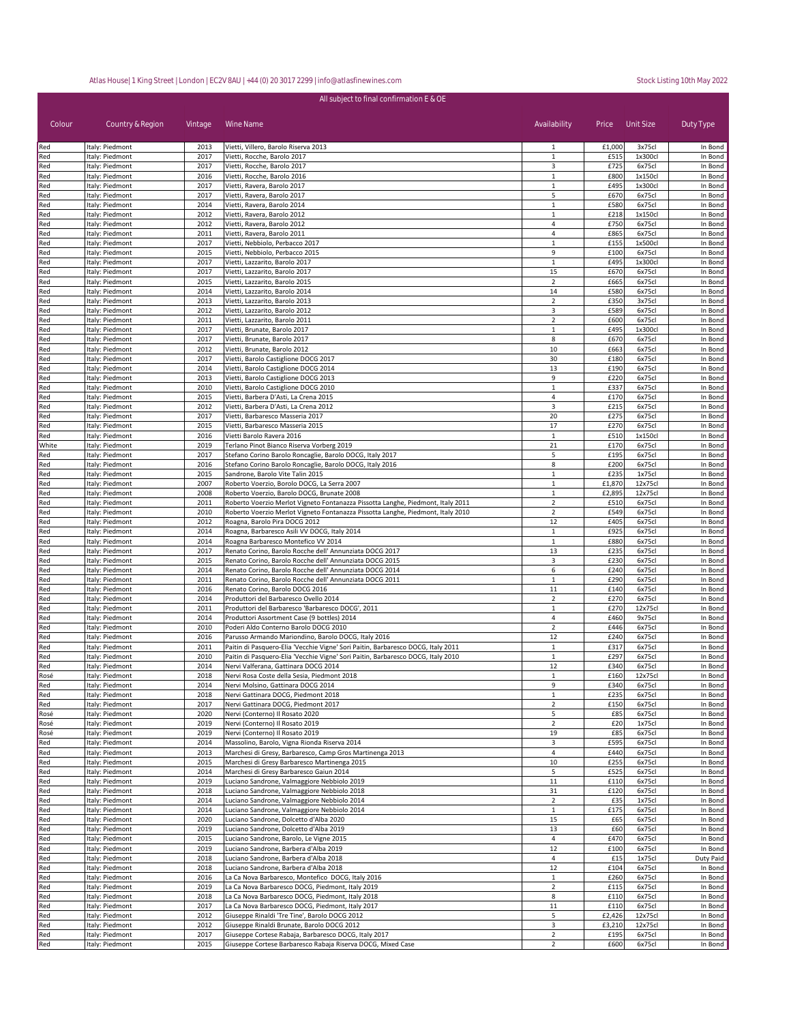| All subject to final confirmation E & OE |                                    |              |                                                                                                                      |                                  |              |                   |                    |  |
|------------------------------------------|------------------------------------|--------------|----------------------------------------------------------------------------------------------------------------------|----------------------------------|--------------|-------------------|--------------------|--|
| Colour                                   | Country & Region                   | Vintage      | Wine Name                                                                                                            | Availability                     | Price        | Unit Size         | Duty Type          |  |
| Red                                      | Italy: Piedmont                    | 2013         | Vietti, Villero, Barolo Riserva 2013                                                                                 | 1                                | £1,000       | 3x75cl            | In Bond            |  |
| Red                                      | Italy: Piedmont                    | 2017         | Vietti, Rocche, Barolo 2017                                                                                          | $\mathbf{1}$                     | £515         | 1x300cl           | In Bond            |  |
| Red<br>Red                               | Italy: Piedmont<br>Italy: Piedmont | 2017<br>2016 | Vietti, Rocche, Barolo 2017<br>Vietti, Rocche, Barolo 2016                                                           | 3<br>$\mathbf{1}$                | £725<br>£800 | 6x75cl<br>1x150cl | In Bond<br>In Bond |  |
| Red                                      | Italy: Piedmont                    | 2017         | Vietti, Ravera, Barolo 2017                                                                                          | $\mathbf{1}$                     | £495         | 1x300cl           | In Bond            |  |
| Red                                      | Italy: Piedmont                    | 2017         | Vietti, Ravera, Barolo 2017                                                                                          | 5                                | £670         | 6x75cl            | In Bond            |  |
| Red                                      | Italy: Piedmont                    | 2014         | Vietti, Ravera, Barolo 2014                                                                                          | $\mathbf{1}$                     | £580         | 6x75cl            | In Bond            |  |
| Red<br>Red                               | Italy: Piedmont<br>Italy: Piedmont | 2012<br>2012 | Vietti, Ravera, Barolo 2012<br>Vietti, Ravera, Barolo 2012                                                           | $\mathbf{1}$<br>4                | £218<br>£750 | 1x150cl<br>6x75cl | In Bond<br>In Bond |  |
| Red                                      | Italy: Piedmont                    | 2011         | Vietti, Ravera, Barolo 2011                                                                                          | $\overline{4}$                   | £865         | 6x75cl            | In Bond            |  |
| Red                                      | Italy: Piedmont                    | 2017         | Vietti, Nebbiolo, Perbacco 2017                                                                                      | $\mathbf{1}$                     | £155         | 1x500cl           | In Bond            |  |
| Red                                      | Italy: Piedmont                    | 2015         | Vietti, Nebbiolo, Perbacco 2015                                                                                      | 9                                | £100         | 6x75cl            | In Bond            |  |
| Red                                      | Italy: Piedmont                    | 2017         | Vietti, Lazzarito, Barolo 2017                                                                                       | 1                                | £495         | 1x300cl           | In Bond            |  |
| Red<br>Red                               | Italy: Piedmont<br>Italy: Piedmont | 2017<br>2015 | Vietti, Lazzarito, Barolo 2017<br>Vietti, Lazzarito, Barolo 2015                                                     | 15<br>$\overline{2}$             | £670<br>£665 | 6x75cl<br>6x75cl  | In Bond<br>In Bond |  |
| Red                                      | Italy: Piedmont                    | 2014         | Vietti, Lazzarito, Barolo 2014                                                                                       | 14                               | £580         | 6x75cl            | In Bond            |  |
| Red                                      | Italy: Piedmont                    | 2013         | Vietti, Lazzarito, Barolo 2013                                                                                       | $\overline{2}$                   | £350         | 3x75cl            | In Bond            |  |
| Red                                      | Italy: Piedmont                    | 2012         | Vietti, Lazzarito, Barolo 2012                                                                                       | 3                                | £589         | 6x75cl            | In Bond            |  |
| Red                                      | Italy: Piedmont                    | 2011         | Vietti, Lazzarito, Barolo 2011                                                                                       | $\overline{2}$                   | £600         | 6x75cl            | In Bond            |  |
| Red<br>Red                               | Italy: Piedmont<br>Italy: Piedmont | 2017<br>2017 | Vietti, Brunate, Barolo 2017<br>Vietti, Brunate, Barolo 2017                                                         | $\mathbf{1}$<br>8                | £495<br>£670 | 1x300cl<br>6x75cl | In Bond<br>In Bond |  |
| Red                                      | Italy: Piedmont                    | 2012         | Vietti, Brunate, Barolo 2012                                                                                         | 10                               | £663         | 6x75cl            | In Bond            |  |
| Red                                      | Italy: Piedmont                    | 2017         | Vietti, Barolo Castiglione DOCG 2017                                                                                 | 30                               | £180         | 6x75cl            | In Bond            |  |
| Red                                      | Italy: Piedmont                    | 2014         | Vietti, Barolo Castiglione DOCG 2014                                                                                 | 13                               | £190         | 6x75cl            | In Bond            |  |
| Red                                      | Italy: Piedmont                    | 2013         | Vietti, Barolo Castiglione DOCG 2013                                                                                 | 9                                | £220         | 6x75cl            | In Bond            |  |
| Red<br>Red                               | Italy: Piedmont<br>Italy: Piedmont | 2010<br>2015 | Vietti, Barolo Castiglione DOCG 2010<br>Vietti, Barbera D'Asti, La Crena 2015                                        | $\mathbf{1}$<br>$\overline{4}$   | £337<br>£170 | 6x75cl<br>6x75cl  | In Bond<br>In Bond |  |
| Red                                      | Italy: Piedmont                    | 2012         | Vietti, Barbera D'Asti, La Crena 2012                                                                                | 3                                | £215         | 6x75cl            | In Bond            |  |
| Red                                      | Italy: Piedmont                    | 2017         | Vietti, Barbaresco Masseria 2017                                                                                     | 20                               | £275         | 6x75cl            | In Bond            |  |
| Red                                      | Italy: Piedmont                    | 2015         | Vietti, Barbaresco Masseria 2015                                                                                     | 17                               | £270         | 6x75cl            | In Bond            |  |
| Red                                      | Italy: Piedmont                    | 2016         | Vietti Barolo Ravera 2016                                                                                            | $\mathbf{1}$                     | £510         | 1x150cl           | In Bond            |  |
| White                                    | Italy: Piedmont                    | 2019         | Terlano Pinot Bianco Riserva Vorberg 2019                                                                            | 21                               | £170         | 6x75cl            | In Bond            |  |
| Red<br>Red                               | Italy: Piedmont<br>Italy: Piedmont | 2017<br>2016 | Stefano Corino Barolo Roncaglie, Barolo DOCG, Italy 2017<br>Stefano Corino Barolo Roncaglie, Barolo DOCG, Italy 2016 | 5<br>8                           | £195<br>£200 | 6x75cl<br>6x75cl  | In Bond<br>In Bond |  |
| Red                                      | Italy: Piedmont                    | 2015         | Sandrone, Barolo Vite Talin 2015                                                                                     | $\mathbf{1}$                     | £235         | 1x75cl            | In Bond            |  |
| Red                                      | Italy: Piedmont                    | 2007         | Roberto Voerzio, Borolo DOCG, La Serra 2007                                                                          | $\mathbf{1}$                     | £1,870       | 12x75cl           | In Bond            |  |
| Red                                      | Italy: Piedmont                    | 2008         | Roberto Voerzio, Barolo DOCG, Brunate 2008                                                                           | $\mathbf 1$                      | £2,895       | 12x75cl           | In Bond            |  |
| Red                                      | Italy: Piedmont                    | 2011         | Roberto Voerzio Merlot Vigneto Fontanazza Pissotta Langhe, Piedmont, Italy 2011                                      | $\overline{2}$                   | £510         | 6x75cl            | In Bond            |  |
| Red<br>Red                               | Italy: Piedmont<br>Italy: Piedmont | 2010<br>2012 | Roberto Voerzio Merlot Vigneto Fontanazza Pissotta Langhe, Piedmont, Italy 2010<br>Roagna, Barolo Pira DOCG 2012     | $\overline{2}$<br>12             | £549<br>£405 | 6x75cl<br>6x75cl  | In Bond<br>In Bond |  |
| Red                                      | Italy: Piedmont                    | 2014         | Roagna, Barbaresco Asili VV DOCG, Italy 2014                                                                         | $\mathbf{1}$                     | £925         | 6x75cl            | In Bond            |  |
| Red                                      | Italy: Piedmont                    | 2014         | Roagna Barbaresco Montefico VV 2014                                                                                  | 1                                | £880         | 6x75cl            | In Bond            |  |
| Red                                      | Italy: Piedmont                    | 2017         | Renato Corino, Barolo Rocche dell' Annunziata DOCG 2017                                                              | 13                               | £235         | 6x75cl            | In Bond            |  |
| Red                                      | Italy: Piedmont                    | 2015         | Renato Corino, Barolo Rocche dell' Annunziata DOCG 2015                                                              | 3                                | £230         | 6x75cl            | In Bond            |  |
| Red                                      | Italy: Piedmont                    | 2014         | Renato Corino, Barolo Rocche dell' Annunziata DOCG 2014                                                              | 6                                | £240         | 6x75cl            | In Bond            |  |
| Red<br>Red                               | Italy: Piedmont<br>Italy: Piedmont | 2011<br>2016 | Renato Corino, Barolo Rocche dell' Annunziata DOCG 2011<br>Renato Corino, Barolo DOCG 2016                           | $\mathbf{1}$<br>$11\,$           | £290<br>£140 | 6x75cl<br>6x75cl  | In Bond<br>In Bond |  |
| Red                                      | Italy: Piedmont                    | 2014         | Produttori del Barbaresco Ovello 2014                                                                                | $\overline{2}$                   | £270         | 6x75cl            | In Bond            |  |
| Red                                      | Italy: Piedmont                    | 2011         | Produttori del Barbaresco 'Barbaresco DOCG', 2011                                                                    | $\mathbf{1}$                     | £270         | 12x75cl           | In Bond            |  |
| Red                                      | Italy: Piedmont                    | 2014         | Produttori Assortment Case (9 bottles) 2014                                                                          | $\overline{4}$                   | £460         | 9x75cl            | In Bond            |  |
| Red                                      | Italy: Piedmont                    | 2010<br>2016 | Poderi Aldo Conterno Barolo DOCG 2010<br>Parusso Armando Mariondino, Barolo DOCG, Italy 2016                         | $\overline{2}$<br>12             | £446<br>£240 | 6x75cl<br>6x75cl  | In Bond<br>In Bond |  |
| Red<br>Red                               | Italy: Piedmont<br>Italy: Piedmont | 2011         | Paitin di Pasquero-Elia 'Vecchie Vigne' Sori Paitin, Barbaresco DOCG, Italy 2011                                     | $\mathbf{1}$                     | £317         | 6x75cl            | In Bond            |  |
| Red                                      | Italy: Piedmont                    | 2010         | Paitin di Pasquero-Elia 'Vecchie Vigne' Sori Paitin, Barbaresco DOCG, Italy 2010                                     | $\mathbf{1}$                     | £297         | 6x75cl            | In Bond            |  |
| Red                                      | Italy: Piedmont                    | 2014         | Nervi Valferana, Gattinara DOCG 2014                                                                                 | 12                               | £340         | 6x75cl            | In Bond            |  |
| Rosé                                     | Italy: Piedmont                    | 2018         | Nervi Rosa Coste della Sesia, Piedmont 2018                                                                          | $\mathbf{1}$                     | £160         | 12x75cl           | In Bond            |  |
| Red                                      | Italy: Piedmont<br>Italy: Piedmont | 2014<br>2018 | Nervi Molsino, Gattinara DOCG 2014                                                                                   | 9<br>$\mathbf{1}$                | £340<br>£235 | 6x75cl<br>6x75cl  | In Bond<br>In Bond |  |
| Red<br>Red                               | Italy: Piedmont                    | 2017         | Nervi Gattinara DOCG, Piedmont 2018<br>Nervi Gattinara DOCG, Piedmont 2017                                           | $\overline{2}$                   | £150         | 6x75cl            | In Bond            |  |
| Rosé                                     | Italy: Piedmont                    | 2020         | Nervi (Conterno) Il Rosato 2020                                                                                      | 5                                | £85          | 6x75cl            | In Bond            |  |
| Rosé                                     | Italy: Piedmont                    | 2019         | Nervi (Conterno) Il Rosato 2019                                                                                      | $\overline{2}$                   | £20          | 1x75cl            | In Bond            |  |
| Rosé                                     | Italy: Piedmont                    | 2019         | Nervi (Conterno) Il Rosato 2019                                                                                      | 19                               | £85          | 6x75cl            | In Bond            |  |
| Red                                      | Italy: Piedmont                    | 2014<br>2013 | Massolino, Barolo, Vigna Rionda Riserva 2014<br>Marchesi di Gresy, Barbaresco, Camp Gros Martinenga 2013             | 3                                | £595<br>£440 | 6x75cl<br>6x75cl  | In Bond<br>In Bond |  |
| Red<br>Red                               | Italy: Piedmont<br>Italy: Piedmont | 2015         | Marchesi di Gresy Barbaresco Martinenga 2015                                                                         | 4<br>10                          | £255         | 6x75cl            | In Bond            |  |
| Red                                      | Italy: Piedmont                    | 2014         | Marchesi di Gresy Barbaresco Gaiun 2014                                                                              | 5                                | £525         | 6x75cl            | In Bond            |  |
| Red                                      | Italy: Piedmont                    | 2019         | Luciano Sandrone, Valmaggiore Nebbiolo 2019                                                                          | 11                               | £110         | 6x75cl            | In Bond            |  |
| Red                                      | Italy: Piedmont                    | 2018         | Luciano Sandrone, Valmaggiore Nebbiolo 2018                                                                          | 31                               | £120         | 6x75cl            | In Bond            |  |
| Red                                      | Italy: Piedmont                    | 2014         | Luciano Sandrone, Valmaggiore Nebbiolo 2014                                                                          | $\overline{2}$                   | £35          | 1x75cl            | In Bond            |  |
| Red<br>Red                               | Italy: Piedmont<br>Italy: Piedmont | 2014<br>2020 | Luciano Sandrone, Valmaggiore Nebbiolo 2014<br>Luciano Sandrone, Dolcetto d'Alba 2020                                | $\mathbf{1}$<br>15               | £175<br>£65  | 6x75cl<br>6x75cl  | In Bond<br>In Bond |  |
| Red                                      | Italy: Piedmont                    | 2019         | Luciano Sandrone, Dolcetto d'Alba 2019                                                                               | 13                               | £60          | 6x75cl            | In Bond            |  |
| Red                                      | Italy: Piedmont                    | 2015         | Luciano Sandrone, Barolo, Le Vigne 2015                                                                              | $\overline{4}$                   | £470         | 6x75cl            | In Bond            |  |
| Red                                      | Italy: Piedmont                    | 2019         | Luciano Sandrone, Barbera d'Alba 2019                                                                                | 12                               | £100         | 6x75cl            | In Bond            |  |
| Red                                      | Italy: Piedmont                    | 2018         | Luciano Sandrone, Barbera d'Alba 2018                                                                                | $\overline{4}$                   | £15          | 1x75cl            | Duty Paid          |  |
| Red                                      | Italy: Piedmont                    | 2018         | Luciano Sandrone, Barbera d'Alba 2018                                                                                | 12                               | £104         | 6x75cl            | In Bond            |  |
| Red<br>Red                               | Italy: Piedmont<br>Italy: Piedmont | 2016<br>2019 | La Ca Nova Barbaresco, Montefico DOCG, Italy 2016<br>La Ca Nova Barbaresco DOCG, Piedmont, Italy 2019                | $\mathbf{1}$<br>$\overline{2}$   | £260<br>£115 | 6x75cl<br>6x75cl  | In Bond<br>In Bond |  |
| Red                                      | Italy: Piedmont                    | 2018         | La Ca Nova Barbaresco DOCG, Piedmont, Italy 2018                                                                     | 8                                | £110         | 6x75cl            | In Bond            |  |
| Red                                      | Italy: Piedmont                    | 2017         | La Ca Nova Barbaresco DOCG, Piedmont, Italy 2017                                                                     | $11\,$                           | £110         | 6x75cl            | In Bond            |  |
| Red                                      | Italy: Piedmont                    | 2012         | Giuseppe Rinaldi 'Tre Tine', Barolo DOCG 2012                                                                        | 5                                | £2,426       | 12x75cl           | In Bond            |  |
| Red                                      | Italy: Piedmont                    | 2012         | Giuseppe Rinaldi Brunate, Barolo DOCG 2012                                                                           | 3                                | £3,210       | 12x75cl           | In Bond            |  |
| Red<br>Red                               | Italy: Piedmont<br>Italy: Piedmont | 2017<br>2015 | Giuseppe Cortese Rabaja, Barbaresco DOCG, Italy 2017<br>Giuseppe Cortese Barbaresco Rabaja Riserva DOCG, Mixed Case  | $\overline{2}$<br>$\overline{2}$ | £195<br>£600 | 6x75cl<br>6x75cl  | In Bond<br>In Bond |  |
|                                          |                                    |              |                                                                                                                      |                                  |              |                   |                    |  |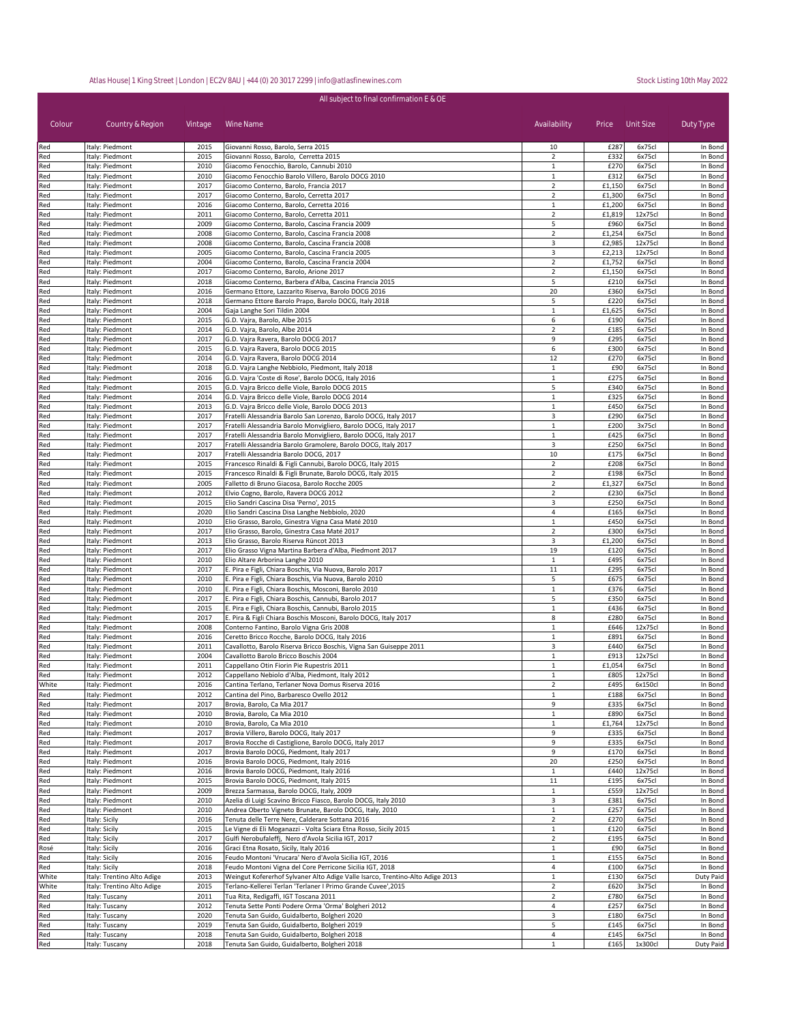| All subject to final confirmation E & OE |                                    |              |                                                                                                                                    |                                  |                |                   |                    |  |
|------------------------------------------|------------------------------------|--------------|------------------------------------------------------------------------------------------------------------------------------------|----------------------------------|----------------|-------------------|--------------------|--|
| Colour                                   | Country & Region                   | Vintage      | Wine Name                                                                                                                          | Availability                     | Price          | Unit Size         | Duty Type          |  |
| Red                                      | Italy: Piedmont                    | 2015         | Giovanni Rosso, Barolo, Serra 2015                                                                                                 | 10                               | £287           | 6x75cl            | In Bond            |  |
| Red                                      | Italy: Piedmont                    | 2015         | Giovanni Rosso, Barolo, Cerretta 2015                                                                                              | $\overline{2}$                   | £332           | 6x75cl            | In Bond            |  |
| Red                                      | Italy: Piedmont                    | 2010         | Giacomo Fenocchio, Barolo, Cannubi 2010                                                                                            | $\mathbf{1}$                     | £270           | 6x75cl            | In Bond            |  |
| Red                                      | Italy: Piedmont                    | 2010         | Giacomo Fenocchio Barolo Villero, Barolo DOCG 2010                                                                                 | 1                                | £312           | 6x75cl            | In Bond            |  |
| Red                                      | Italy: Piedmont                    | 2017         | Giacomo Conterno, Barolo, Francia 2017                                                                                             | $\overline{2}$                   | £1,150         | 6x75cl            | In Bond            |  |
| Red                                      | Italy: Piedmont                    | 2017         | Giacomo Conterno, Barolo, Cerretta 2017                                                                                            | $\overline{2}$                   | £1,300         | 6x75cl            | In Bond            |  |
| Red                                      | Italy: Piedmont                    | 2016         | Giacomo Conterno, Barolo, Cerretta 2016                                                                                            | $\mathbf{1}$                     | £1,200         | 6x75cl            | In Bond            |  |
| Red                                      | Italy: Piedmont<br>Italy: Piedmont | 2011<br>2009 | Giacomo Conterno, Barolo, Cerretta 2011                                                                                            | $\overline{2}$<br>5              | £1,819<br>£960 | 12x75cl<br>6x75cl | In Bond            |  |
| Red<br>Red                               | Italy: Piedmont                    | 2008         | Giacomo Conterno, Barolo, Cascina Francia 2009<br>Giacomo Conterno, Barolo, Cascina Francia 2008                                   | $\overline{2}$                   | £1,254         | 6x75cl            | In Bond<br>In Bond |  |
| Red                                      | Italy: Piedmont                    | 2008         | Giacomo Conterno, Barolo, Cascina Francia 2008                                                                                     | 3                                | £2,985         | 12x75cl           | In Bond            |  |
| Red                                      | Italy: Piedmont                    | 2005         | Giacomo Conterno, Barolo, Cascina Francia 2005                                                                                     | 3                                | £2,213         | 12x75cl           | In Bond            |  |
| Red                                      | Italy: Piedmont                    | 2004         | Giacomo Conterno, Barolo, Cascina Francia 2004                                                                                     | $\overline{2}$                   | £1,752         | 6x75cl            | In Bond            |  |
| Red                                      | Italy: Piedmont                    | 2017         | Giacomo Conterno, Barolo, Arione 2017                                                                                              | $\overline{2}$                   | £1,150         | 6x75cl            | In Bond            |  |
| Red                                      | Italy: Piedmont                    | 2018         | Giacomo Conterno, Barbera d'Alba, Cascina Francia 2015                                                                             | 5                                | £210           | 6x75cl            | In Bond            |  |
| Red                                      | Italy: Piedmont                    | 2016         | Germano Ettore, Lazzarito Riserva, Barolo DOCG 2016                                                                                | 20                               | £360           | 6x75cl            | In Bond            |  |
| Red                                      | Italy: Piedmont                    | 2018         | Germano Ettore Barolo Prapo, Barolo DOCG, Italy 2018                                                                               | 5                                | £220           | 6x75cl            | In Bond            |  |
| Red                                      | Italy: Piedmont                    | 2004         | Gaja Langhe Sori Tildin 2004                                                                                                       | $\mathbf{1}$                     | £1,625         | 6x75cl            | In Bond            |  |
| Red                                      | Italy: Piedmont                    | 2015         | G.D. Vajra, Barolo, Albe 2015                                                                                                      | 6                                | £190           | 6x75cl            | In Bond            |  |
| Red                                      | Italy: Piedmont                    | 2014         | G.D. Vajra, Barolo, Albe 2014                                                                                                      | $\overline{2}$                   | £185           | 6x75cl            | In Bond            |  |
| Red                                      | Italy: Piedmont                    | 2017         | G.D. Vajra Ravera, Barolo DOCG 2017                                                                                                | 9                                | £295           | 6x75cl            | In Bond            |  |
| Red                                      | Italy: Piedmont                    | 2015         | G.D. Vajra Ravera, Barolo DOCG 2015                                                                                                | 6                                | £300           | 6x75cl            | In Bond            |  |
| Red                                      | Italy: Piedmont                    | 2014         | G.D. Vajra Ravera, Barolo DOCG 2014                                                                                                | 12                               | £270           | 6x75cl            | In Bond            |  |
| Red                                      | Italy: Piedmont                    | 2018         | G.D. Vajra Langhe Nebbiolo, Piedmont, Italy 2018                                                                                   | $\mathbf 1$                      | £90            | 6x75cl            | In Bond            |  |
| Red                                      | Italy: Piedmont                    | 2016         | G.D. Vajra 'Coste di Rose', Barolo DOCG, Italy 2016                                                                                | 1                                | £275           | 6x75cl            | In Bond            |  |
| Red                                      | Italy: Piedmont                    | 2015         | G.D. Vajra Bricco delle Viole, Barolo DOCG 2015                                                                                    | 5                                | £340           | 6x75cl            | In Bond            |  |
| Red                                      | Italy: Piedmont                    | 2014         | G.D. Vajra Bricco delle Viole, Barolo DOCG 2014                                                                                    | $\mathbf{1}$                     | £325           | 6x75cl            | In Bond            |  |
| Red                                      | Italy: Piedmont                    | 2013         | G.D. Vajra Bricco delle Viole, Barolo DOCG 2013                                                                                    | $\mathbf{1}$                     | £450           | 6x75cl            | In Bond            |  |
| Red                                      | Italy: Piedmont                    | 2017         | Fratelli Alessandria Barolo San Lorenzo, Barolo DOCG, Italy 2017                                                                   | 3                                | £290           | 6x75cl            | In Bond            |  |
| Red                                      | Italy: Piedmont                    | 2017         | Fratelli Alessandria Barolo Monvigliero, Barolo DOCG, Italy 2017                                                                   | $\mathbf 1$                      | £200           | 3x75cl            | In Bond            |  |
| Red                                      | Italy: Piedmont                    | 2017<br>2017 | Fratelli Alessandria Barolo Monvigliero, Barolo DOCG, Italy 2017<br>Fratelli Alessandria Barolo Gramolere, Barolo DOCG, Italy 2017 | $\mathbf{1}$<br>3                | £425           | 6x75cl            | In Bond            |  |
| Red<br>Red                               | Italy: Piedmont<br>Italy: Piedmont | 2017         | Fratelli Alessandria Barolo DOCG, 2017                                                                                             | 10                               | £250<br>£175   | 6x75cl<br>6x75cl  | In Bond<br>In Bond |  |
| Red                                      | Italy: Piedmont                    | 2015         | Francesco Rinaldi & Figli Cannubi, Barolo DOCG, Italy 2015                                                                         | $\overline{2}$                   | £208           | 6x75cl            | In Bond            |  |
| Red                                      | Italy: Piedmont                    | 2015         | Francesco Rinaldi & Figli Brunate, Barolo DOCG, Italy 2015                                                                         | $\overline{2}$                   | £198           | 6x75cl            | In Bond            |  |
| Red                                      | Italy: Piedmont                    | 2005         | Falletto di Bruno Giacosa, Barolo Rocche 2005                                                                                      | $\overline{2}$                   | £1,327         | 6x75cl            | In Bond            |  |
| Red                                      | Italy: Piedmont                    | 2012         | Elvio Cogno, Barolo, Ravera DOCG 2012                                                                                              | $\overline{2}$                   | £230           | 6x75cl            | In Bond            |  |
| Red                                      | Italy: Piedmont                    | 2015         | Elio Sandri Cascina Disa 'Perno', 2015                                                                                             | 3                                | £250           | 6x75cl            | In Bond            |  |
| Red                                      | Italy: Piedmont                    | 2020         | Elio Sandri Cascina Disa Langhe Nebbiolo, 2020                                                                                     | 4                                | £165           | 6x75cl            | In Bond            |  |
| Red                                      | Italy: Piedmont                    | 2010         | Elio Grasso, Barolo, Ginestra Vigna Casa Maté 2010                                                                                 | $\mathbf{1}$                     | £450           | 6x75cl            | In Bond            |  |
| Red                                      | Italy: Piedmont                    | 2017         | Elio Grasso, Barolo, Ginestra Casa Maté 2017                                                                                       | $\overline{2}$                   | £300           | 6x75cl            | In Bond            |  |
| Red                                      | Italy: Piedmont                    | 2013         | Elio Grasso, Barolo Riserva Rüncot 2013                                                                                            | 3                                | £1,200         | 6x75cl            | In Bond            |  |
| Red                                      | Italy: Piedmont                    | 2017         | Elio Grasso Vigna Martina Barbera d'Alba, Piedmont 2017                                                                            | 19                               | £120           | 6x75cl            | In Bond            |  |
| Red                                      | Italy: Piedmont                    | 2010         | Elio Altare Arborina Langhe 2010                                                                                                   | $\mathbf{1}$                     | £495           | 6x75cl            | In Bond            |  |
| Red                                      | Italy: Piedmont                    | 2017         | E. Pira e Figli, Chiara Boschis, Via Nuova, Barolo 2017                                                                            | 11                               | £295           | 6x75cl            | In Bond            |  |
| Red                                      | Italy: Piedmont                    | 2010         | E. Pira e Figli, Chiara Boschis, Via Nuova, Barolo 2010                                                                            | 5                                | £675           | 6x75cl            | In Bond            |  |
| Red                                      | Italy: Piedmont                    | 2010         | E. Pira e Figli, Chiara Boschis, Mosconi, Barolo 2010                                                                              | $\mathbf 1$                      | £376           | 6x75cl            | In Bond            |  |
| Red                                      | Italy: Piedmont                    | 2017         | E. Pira e Figli, Chiara Boschis, Cannubi, Barolo 2017                                                                              | 5                                | £350           | 6x75cl            | In Bond            |  |
| Red                                      | Italy: Piedmont                    | 2015         | E. Pira e Figli, Chiara Boschis, Cannubi, Barolo 2015                                                                              | $\mathbf{1}$                     | £436           | 6x75cl            | In Bond            |  |
| Red                                      | Italy: Piedmont                    | 2017         | E. Pira & Figli Chiara Boschis Mosconi, Barolo DOCG, Italy 2017                                                                    | 8                                | £280           | 6x75cl            | In Bond            |  |
| Red                                      | Italy: Piedmont                    | 2008         | Conterno Fantino, Barolo Vigna Gris 2008                                                                                           | $\mathbf{1}$                     | £646           | 12x75cl           | In Bond            |  |
| Red                                      | Italy: Piedmont                    | 2016         | Ceretto Bricco Rocche, Barolo DOCG, Italy 2016                                                                                     | 1                                | £891           | 6x75cl            | In Bond            |  |
| Red                                      | Italy: Piedmont                    | 2011         | Cavallotto, Barolo Riserva Bricco Boschis, Vigna San Guiseppe 2011                                                                 | 3                                | £440<br>£913   | 6x75cl<br>12x75cl | In Bond            |  |
| Red<br>Red                               | Italy: Piedmont                    | 2004<br>2011 | Cavallotto Barolo Bricco Boschis 2004<br>Cappellano Otin Fiorin Pie Rupestris 2011                                                 | $1\,$<br>$1\,$                   | £1,054         | 6x75cl            | In Bond<br>In Bond |  |
| Red                                      | Italy: Piedmont<br>Italy: Piedmont | 2012         | Cappellano Nebiolo d'Alba, Piedmont, Italy 2012                                                                                    | 1                                | £805           | 12x75cl           | In Bond            |  |
| White                                    | Italy: Piedmont                    | 2016         | Cantina Terlano, Terlaner Nova Domus Riserva 2016                                                                                  | $\overline{2}$                   | £495           | 6x150cl           | In Bond            |  |
| Red                                      | Italy: Piedmont                    | 2012         | Cantina del Pino, Barbaresco Ovello 2012                                                                                           | 1                                | £188           | 6x75cl            | In Bond            |  |
| Red                                      | Italy: Piedmont                    | 2017         | Brovia, Barolo, Ca Mia 2017                                                                                                        | 9                                | £335           | 6x75cl            | In Bond            |  |
| Red                                      | Italy: Piedmont                    | 2010         | Brovia, Barolo, Ca Mia 2010                                                                                                        | $\mathbf{1}$                     | £890           | 6x75cl            | In Bond            |  |
| Red                                      | Italy: Piedmont                    | 2010         | Brovia, Barolo, Ca Mia 2010                                                                                                        | $\mathbf{1}$                     | £1,764         | 12x75cl           | In Bond            |  |
| Red                                      | Italy: Piedmont                    | 2017         | Brovia Villero, Barolo DOCG, Italy 2017                                                                                            | 9                                | £335           | 6x75cl            | In Bond            |  |
| Red                                      | Italy: Piedmont                    | 2017         | Brovia Rocche di Castiglione, Barolo DOCG, Italy 2017                                                                              | 9                                | £335           | 6x75cl            | In Bond            |  |
| Red                                      | Italy: Piedmont                    | 2017         | Brovia Barolo DOCG, Piedmont, Italy 2017                                                                                           | 9                                | £170           | 6x75cl            | In Bond            |  |
| Red                                      | Italy: Piedmont                    | 2016         | Brovia Barolo DOCG, Piedmont, Italy 2016                                                                                           | 20                               | £250           | 6x75cl            | In Bond            |  |
| Red                                      | Italy: Piedmont                    | 2016         | Brovia Barolo DOCG, Piedmont, Italy 2016                                                                                           | $\mathbf{1}$                     | £440           | 12x75cl           | In Bond            |  |
| Red                                      | Italy: Piedmont                    | 2015         | Brovia Barolo DOCG, Piedmont, Italy 2015                                                                                           | 11                               | £195           | 6x75cl            | In Bond            |  |
| Red                                      | Italy: Piedmont                    | 2009         | Brezza Sarmassa, Barolo DOCG, Italy, 2009                                                                                          | $\mathbf{1}$                     | £559           | 12x75cl           | In Bond            |  |
| Red                                      | Italy: Piedmont                    | 2010         | Azelia di Luigi Scavino Bricco Fiasco, Barolo DOCG, Italy 2010                                                                     | 3                                | £381           | 6x75cl            | In Bond            |  |
| Red                                      | Italy: Piedmont                    | 2010         | Andrea Oberto Vigneto Brunate, Barolo DOCG, Italy, 2010                                                                            | $\mathbf{1}$                     | £257           | 6x75cl            | In Bond            |  |
| Red                                      | Italy: Sicily                      | 2016         | Tenuta delle Terre Nere, Calderare Sottana 2016                                                                                    | $\overline{2}$                   | £270           | 6x75cl            | In Bond            |  |
| Red                                      | Italy: Sicily                      | 2015         | Le Vigne di Eli Moganazzi - Volta Sciara Etna Rosso, Sicily 2015                                                                   | $\mathbf{1}$                     | £120           | 6x75cl            | In Bond            |  |
| Red                                      | Italy: Sicily                      | 2017         | Gulfi Nerobufaleffj, Nero d'Avola Sicilia IGT, 2017                                                                                | $\overline{2}$                   | £195           | 6x75cl            | In Bond            |  |
| Rosé                                     | Italy: Sicily                      | 2016         | Graci Etna Rosato, Sicily, Italy 2016                                                                                              | $\mathbf{1}$                     | £90            | 6x75cl            | In Bond            |  |
| Red                                      | Italy: Sicily                      | 2016         | Feudo Montoni 'Vrucara' Nero d'Avola Sicilia IGT, 2016                                                                             | $\mathbf{1}$                     | £155           | 6x75cl            | In Bond            |  |
| Red                                      | Italy: Sicily                      | 2018         | Feudo Montoni Vigna del Core Perricone Sicilia IGT, 2018                                                                           | 4                                | £100           | 6x75cl            | In Bond            |  |
| White                                    | Italy: Trentino Alto Adige         | 2013         | Weingut Kofererhof Sylvaner Alto Adige Valle Isarco, Trentino-Alto Adige 2013                                                      | $\mathbf{1}$                     | £130           | 6x75cl            | Duty Paid          |  |
| White                                    | Italy: Trentino Alto Adige         | 2015         | Terlano-Kellerei Terlan 'Terlaner I Primo Grande Cuvee', 2015                                                                      | $\overline{2}$                   | £620           | 3x75cl            | In Bond            |  |
| Red                                      | Italy: Tuscany                     | 2011         | Tua Rita, Redigaffi, IGT Toscana 2011                                                                                              | $\overline{2}$<br>$\overline{a}$ | £780<br>£257   | 6x75cl            | In Bond            |  |
| Red                                      | Italy: Tuscany                     | 2012<br>2020 | Tenuta Sette Ponti Podere Orma 'Orma' Bolgheri 2012<br>Tenuta San Guido, Guidalberto, Bolgheri 2020                                | 3                                | £180           | 6x75cl<br>6x75cl  | In Bond<br>In Bond |  |
| Red<br>Red                               | Italy: Tuscany<br>Italy: Tuscany   | 2019         | Tenuta San Guido, Guidalberto, Bolgheri 2019                                                                                       | 5                                | £145           | 6x75cl            | In Bond            |  |
| Red                                      | Italy: Tuscany                     | 2018         | Tenuta San Guido, Guidalberto, Bolgheri 2018                                                                                       | $\sqrt{4}$                       | £145           | 6x75cl            | In Bond            |  |
| Red                                      | Italy: Tuscany                     | 2018         | Tenuta San Guido, Guidalberto, Bolgheri 2018                                                                                       | $\mathbf{1}$                     | £165           | 1x300cl           | Duty Paid          |  |